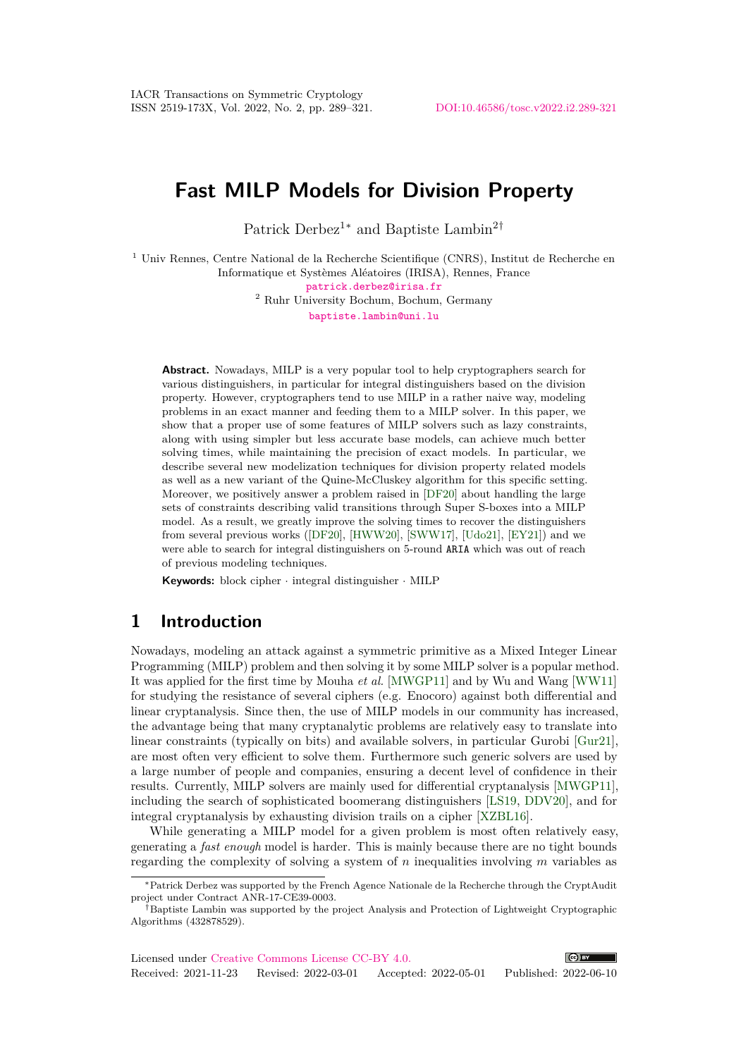# **Fast MILP Models for Division Property**

Patrick Derbez<sup>1∗</sup> and Baptiste Lambin<sup>2†</sup>

<sup>1</sup> Univ Rennes, Centre National de la Recherche Scientifique (CNRS), Institut de Recherche en Informatique et Systèmes Aléatoires (IRISA), Rennes, France

[patrick.derbez@irisa.fr](mailto:patrick.derbez@irisa.fr)

<sup>2</sup> Ruhr University Bochum, Bochum, Germany [baptiste.lambin@uni.lu](mailto:baptiste.lambin@uni.lu)

**Abstract.** Nowadays, MILP is a very popular tool to help cryptographers search for various distinguishers, in particular for integral distinguishers based on the division property. However, cryptographers tend to use MILP in a rather naive way, modeling problems in an exact manner and feeding them to a MILP solver. In this paper, we show that a proper use of some features of MILP solvers such as lazy constraints, along with using simpler but less accurate base models, can achieve much better solving times, while maintaining the precision of exact models. In particular, we describe several new modelization techniques for division property related models as well as a new variant of the Quine-McCluskey algorithm for this specific setting. Moreover, we positively answer a problem raised in [\[DF20\]](#page-21-0) about handling the large sets of constraints describing valid transitions through Super S-boxes into a MILP model. As a result, we greatly improve the solving times to recover the distinguishers from several previous works ([\[DF20\]](#page-21-0), [\[HWW20\]](#page-22-0), [\[SWW17\]](#page-23-0), [\[Udo21\]](#page-24-0), [\[EY21\]](#page-21-1)) and we were able to search for integral distinguishers on 5-round ARIA which was out of reach of previous modeling techniques.

**Keywords:** block cipher · integral distinguisher · MILP

## **1 Introduction**

Nowadays, modeling an attack against a symmetric primitive as a Mixed Integer Linear Programming (MILP) problem and then solving it by some MILP solver is a popular method. It was applied for the first time by Mouha *et al.* [\[MWGP11\]](#page-23-1) and by Wu and Wang [\[WW11\]](#page-24-1) for studying the resistance of several ciphers (e.g. Enocoro) against both differential and linear cryptanalysis. Since then, the use of MILP models in our community has increased, the advantage being that many cryptanalytic problems are relatively easy to translate into linear constraints (typically on bits) and available solvers, in particular Gurobi [\[Gur21\]](#page-22-1), are most often very efficient to solve them. Furthermore such generic solvers are used by a large number of people and companies, ensuring a decent level of confidence in their results. Currently, MILP solvers are mainly used for differential cryptanalysis [\[MWGP11\]](#page-23-1), including the search of sophisticated boomerang distinguishers [\[LS19,](#page-22-2) [DDV20\]](#page-21-2), and for integral cryptanalysis by exhausting division trails on a cipher [\[XZBL16\]](#page-24-2).

While generating a MILP model for a given problem is most often relatively easy, generating a *fast enough* model is harder. This is mainly because there are no tight bounds regarding the complexity of solving a system of *n* inequalities involving *m* variables as

<sup>∗</sup>Patrick Derbez was supported by the French Agence Nationale de la Recherche through the CryptAudit project under Contract ANR-17-CE39-0003.

<sup>†</sup>Baptiste Lambin was supported by the project Analysis and Protection of Lightweight Cryptographic Algorithms (432878529).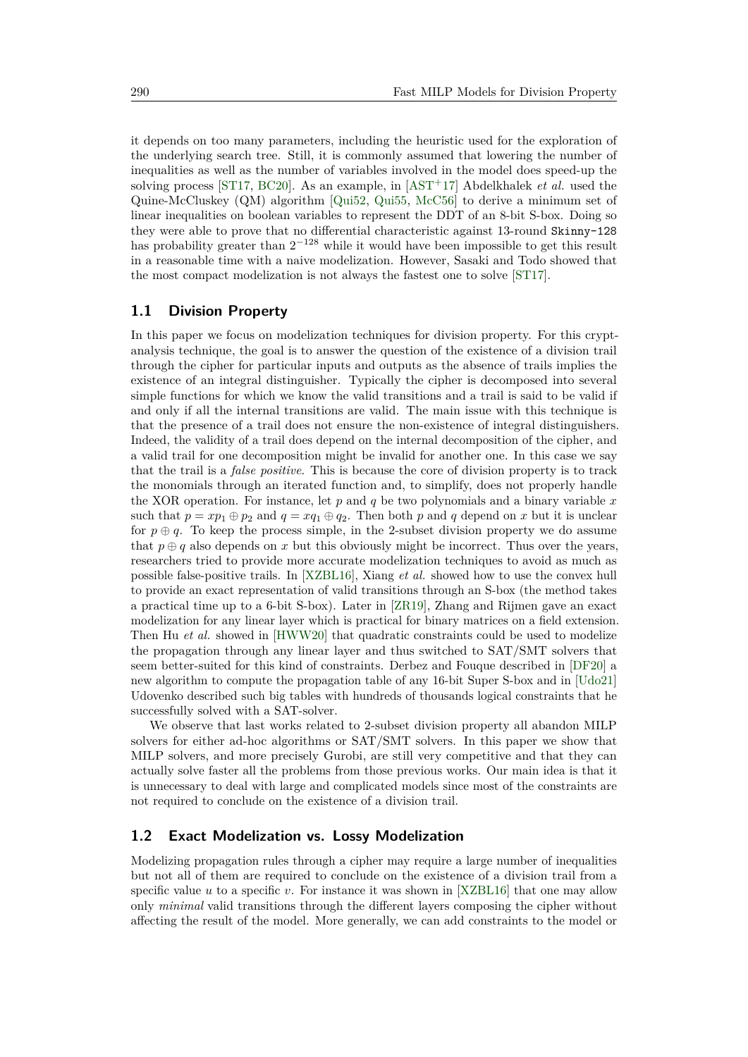it depends on too many parameters, including the heuristic used for the exploration of the underlying search tree. Still, it is commonly assumed that lowering the number of inequalities as well as the number of variables involved in the model does speed-up the solving process [\[ST17,](#page-23-2) [BC20\]](#page-21-3). As an example, in [\[AST](#page-20-0)<sup>+</sup>17] Abdelkhalek *et al.* used the Quine-McCluskey (QM) algorithm [\[Qui52,](#page-23-3) [Qui55,](#page-23-4) [McC56\]](#page-23-5) to derive a minimum set of linear inequalities on boolean variables to represent the DDT of an 8-bit S-box. Doing so they were able to prove that no differential characteristic against 13-round Skinny-128 has probability greater than  $2^{-128}$  while it would have been impossible to get this result in a reasonable time with a naive modelization. However, Sasaki and Todo showed that the most compact modelization is not always the fastest one to solve [\[ST17\]](#page-23-2).

### **1.1 Division Property**

In this paper we focus on modelization techniques for division property. For this cryptanalysis technique, the goal is to answer the question of the existence of a division trail through the cipher for particular inputs and outputs as the absence of trails implies the existence of an integral distinguisher. Typically the cipher is decomposed into several simple functions for which we know the valid transitions and a trail is said to be valid if and only if all the internal transitions are valid. The main issue with this technique is that the presence of a trail does not ensure the non-existence of integral distinguishers. Indeed, the validity of a trail does depend on the internal decomposition of the cipher, and a valid trail for one decomposition might be invalid for another one. In this case we say that the trail is a *false positive*. This is because the core of division property is to track the monomials through an iterated function and, to simplify, does not properly handle the XOR operation. For instance, let *p* and *q* be two polynomials and a binary variable *x* such that  $p = xp_1 \oplus p_2$  and  $q = xq_1 \oplus q_2$ . Then both p and q depend on x but it is unclear for  $p \oplus q$ . To keep the process simple, in the 2-subset division property we do assume that  $p \oplus q$  also depends on x but this obviously might be incorrect. Thus over the years, researchers tried to provide more accurate modelization techniques to avoid as much as possible false-positive trails. In [\[XZBL16\]](#page-24-2), Xiang *et al.* showed how to use the convex hull to provide an exact representation of valid transitions through an S-box (the method takes a practical time up to a 6-bit S-box). Later in [\[ZR19\]](#page-24-3), Zhang and Rijmen gave an exact modelization for any linear layer which is practical for binary matrices on a field extension. Then Hu *et al.* showed in [\[HWW20\]](#page-22-0) that quadratic constraints could be used to modelize the propagation through any linear layer and thus switched to SAT/SMT solvers that seem better-suited for this kind of constraints. Derbez and Fouque described in [\[DF20\]](#page-21-0) a new algorithm to compute the propagation table of any 16-bit Super S-box and in [\[Udo21\]](#page-24-0) Udovenko described such big tables with hundreds of thousands logical constraints that he successfully solved with a SAT-solver.

We observe that last works related to 2-subset division property all abandon MILP solvers for either ad-hoc algorithms or SAT/SMT solvers. In this paper we show that MILP solvers, and more precisely Gurobi, are still very competitive and that they can actually solve faster all the problems from those previous works. Our main idea is that it is unnecessary to deal with large and complicated models since most of the constraints are not required to conclude on the existence of a division trail.

#### <span id="page-1-0"></span>**1.2 Exact Modelization vs. Lossy Modelization**

Modelizing propagation rules through a cipher may require a large number of inequalities but not all of them are required to conclude on the existence of a division trail from a specific value *u* to a specific *v*. For instance it was shown in [\[XZBL16\]](#page-24-2) that one may allow only *minimal* valid transitions through the different layers composing the cipher without affecting the result of the model. More generally, we can add constraints to the model or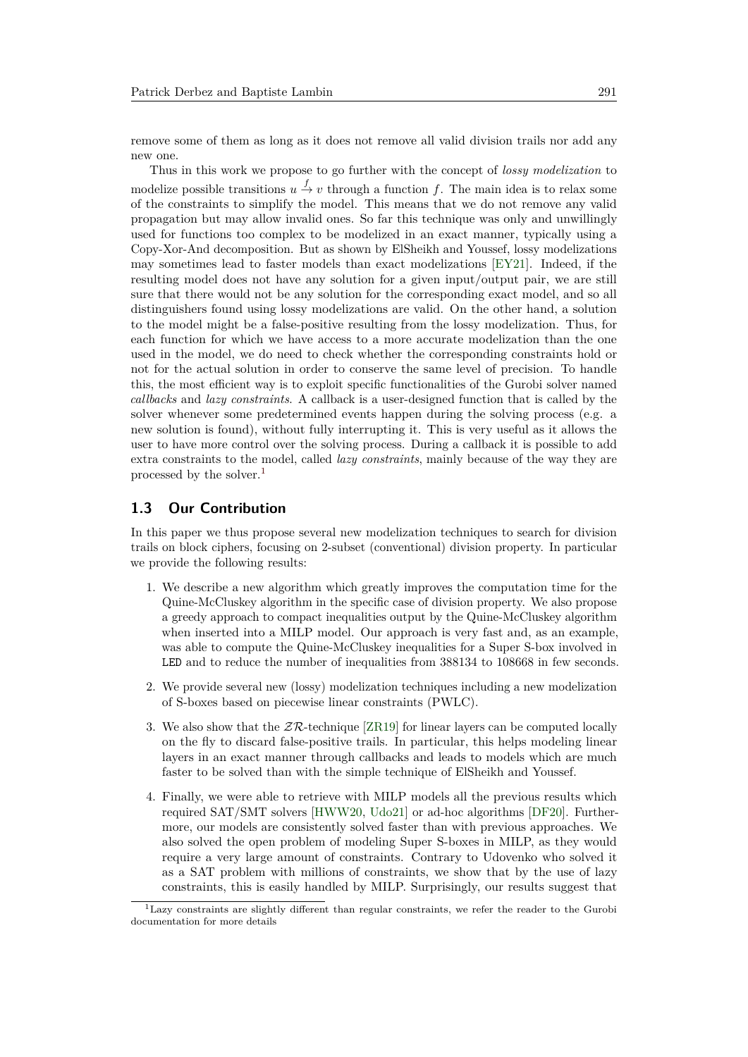remove some of them as long as it does not remove all valid division trails nor add any new one.

Thus in this work we propose to go further with the concept of *lossy modelization* to modelize possible transitions  $u \stackrel{f}{\to} v$  through a function f. The main idea is to relax some of the constraints to simplify the model. This means that we do not remove any valid propagation but may allow invalid ones. So far this technique was only and unwillingly used for functions too complex to be modelized in an exact manner, typically using a Copy-Xor-And decomposition. But as shown by ElSheikh and Youssef, lossy modelizations may sometimes lead to faster models than exact modelizations [\[EY21\]](#page-21-1). Indeed, if the resulting model does not have any solution for a given input/output pair, we are still sure that there would not be any solution for the corresponding exact model, and so all distinguishers found using lossy modelizations are valid. On the other hand, a solution to the model might be a false-positive resulting from the lossy modelization. Thus, for each function for which we have access to a more accurate modelization than the one used in the model, we do need to check whether the corresponding constraints hold or not for the actual solution in order to conserve the same level of precision. To handle this, the most efficient way is to exploit specific functionalities of the Gurobi solver named *callbacks* and *lazy constraints*. A callback is a user-designed function that is called by the solver whenever some predetermined events happen during the solving process (e.g. a new solution is found), without fully interrupting it. This is very useful as it allows the user to have more control over the solving process. During a callback it is possible to add extra constraints to the model, called *lazy constraints*, mainly because of the way they are processed by the solver.[1](#page-2-0)

#### **1.3 Our Contribution**

In this paper we thus propose several new modelization techniques to search for division trails on block ciphers, focusing on 2-subset (conventional) division property. In particular we provide the following results:

- 1. We describe a new algorithm which greatly improves the computation time for the Quine-McCluskey algorithm in the specific case of division property. We also propose a greedy approach to compact inequalities output by the Quine-McCluskey algorithm when inserted into a MILP model. Our approach is very fast and, as an example, was able to compute the Quine-McCluskey inequalities for a Super S-box involved in LED and to reduce the number of inequalities from 388134 to 108668 in few seconds.
- 2. We provide several new (lossy) modelization techniques including a new modelization of S-boxes based on piecewise linear constraints (PWLC).
- 3. We also show that the  $Z\mathcal{R}$ -technique [\[ZR19\]](#page-24-3) for linear layers can be computed locally on the fly to discard false-positive trails. In particular, this helps modeling linear layers in an exact manner through callbacks and leads to models which are much faster to be solved than with the simple technique of ElSheikh and Youssef.
- 4. Finally, we were able to retrieve with MILP models all the previous results which required SAT/SMT solvers [\[HWW20,](#page-22-0) [Udo21\]](#page-24-0) or ad-hoc algorithms [\[DF20\]](#page-21-0). Furthermore, our models are consistently solved faster than with previous approaches. We also solved the open problem of modeling Super S-boxes in MILP, as they would require a very large amount of constraints. Contrary to Udovenko who solved it as a SAT problem with millions of constraints, we show that by the use of lazy constraints, this is easily handled by MILP. Surprisingly, our results suggest that

<span id="page-2-0"></span><sup>1</sup>Lazy constraints are slightly different than regular constraints, we refer the reader to the Gurobi documentation for more details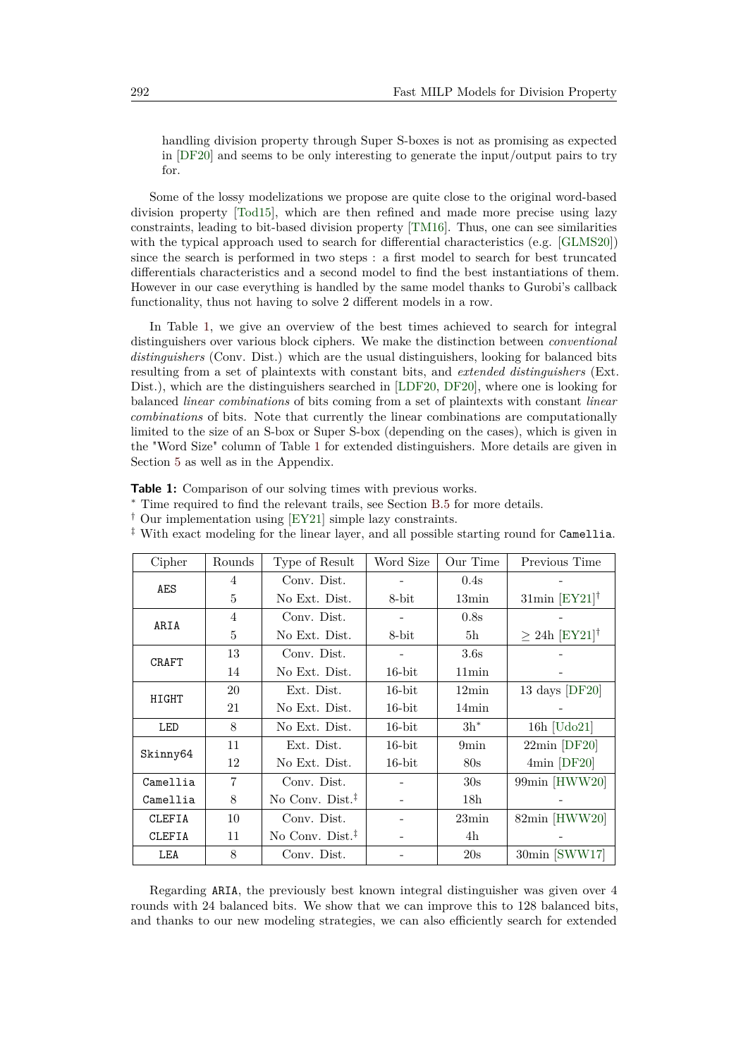handling division property through Super S-boxes is not as promising as expected in [\[DF20\]](#page-21-0) and seems to be only interesting to generate the input/output pairs to try for.

Some of the lossy modelizations we propose are quite close to the original word-based division property [\[Tod15\]](#page-24-4), which are then refined and made more precise using lazy constraints, leading to bit-based division property [\[TM16\]](#page-24-5). Thus, one can see similarities with the typical approach used to search for differential characteristics (e.g. [\[GLMS20\]](#page-21-4)) since the search is performed in two steps : a first model to search for best truncated differentials characteristics and a second model to find the best instantiations of them. However in our case everything is handled by the same model thanks to Gurobi's callback functionality, thus not having to solve 2 different models in a row.

In Table [1,](#page-3-0) we give an overview of the best times achieved to search for integral distinguishers over various block ciphers. We make the distinction between *conventional distinguishers* (Conv. Dist.) which are the usual distinguishers, looking for balanced bits resulting from a set of plaintexts with constant bits, and *extended distinguishers* (Ext. Dist.), which are the distinguishers searched in [\[LDF20,](#page-22-3) [DF20\]](#page-21-0), where one is looking for balanced *linear combinations* of bits coming from a set of plaintexts with constant *linear combinations* of bits. Note that currently the linear combinations are computationally limited to the size of an S-box or Super S-box (depending on the cases), which is given in the "Word Size" column of Table [1](#page-3-0) for extended distinguishers. More details are given in Section [5](#page-15-0) as well as in the Appendix.

<span id="page-3-0"></span>**Table 1:** Comparison of our solving times with previous works.

<sup>∗</sup> Time required to find the relevant trails, see Section [B.5](#page-29-0) for more details.

† Our implementation using [\[EY21\]](#page-21-1) simple lazy constraints.

| Cipher        | Rounds | Type of Result            | Word Size | Our Time         | Previous Time                      |
|---------------|--------|---------------------------|-----------|------------------|------------------------------------|
| AES           | 4      | Conv. Dist.               |           | 0.4s             |                                    |
|               | 5      | No Ext. Dist.             | 8-bit     | $13\text{min}$   | $31\text{min}$ [EY21] <sup>†</sup> |
| ARIA          | 4      | Conv. Dist.               |           | 0.8s             |                                    |
|               | 5      | No Ext. Dist.             | 8-bit     | 5 <sub>h</sub>   | $\geq 24h$ [EY21] <sup>†</sup>     |
| <b>CRAFT</b>  | 13     | Conv. Dist.               |           | 3.6s             |                                    |
|               | 14     | No Ext. Dist.             | $16$ -bit | 11min            |                                    |
| HIGHT         | 20     | Ext. Dist.                | $16$ -bit | $12\text{min}$   | 13 days $[DF20]$                   |
|               | 21     | No Ext. Dist.             | $16$ -bit | $14\text{min}$   |                                    |
| LED           | 8      | No Ext. Dist.             | $16$ -bit | $3h^*$           | $16h$ [Udo21]                      |
| Skinny64      | 11     | Ext. Dist.                | $16$ -bit | 9 <sub>min</sub> | $22\text{min}$ [DF $20$ ]          |
|               | 12     | No Ext. Dist.             | $16$ -bit | 80s              | $4min$ [DF20]                      |
| Camellia      | 7      | Conv. Dist.               |           | 30s              | 99min [HWW20]                      |
| Camellia      | 8      | No Conv. Dist. $\ddagger$ |           | 18 <sub>h</sub>  |                                    |
| <b>CLEFIA</b> | 10     | Conv. Dist.               |           | 23min            | 82min [HWW20]                      |
| <b>CLEFIA</b> | 11     | No Conv. Dist. $‡$        |           | 4h               |                                    |
| LEA           | 8      | Conv. Dist.               |           | 20s              | 30min [SWW17]                      |

‡ With exact modeling for the linear layer, and all possible starting round for Camellia.

Regarding ARIA, the previously best known integral distinguisher was given over 4 rounds with 24 balanced bits. We show that we can improve this to 128 balanced bits, and thanks to our new modeling strategies, we can also efficiently search for extended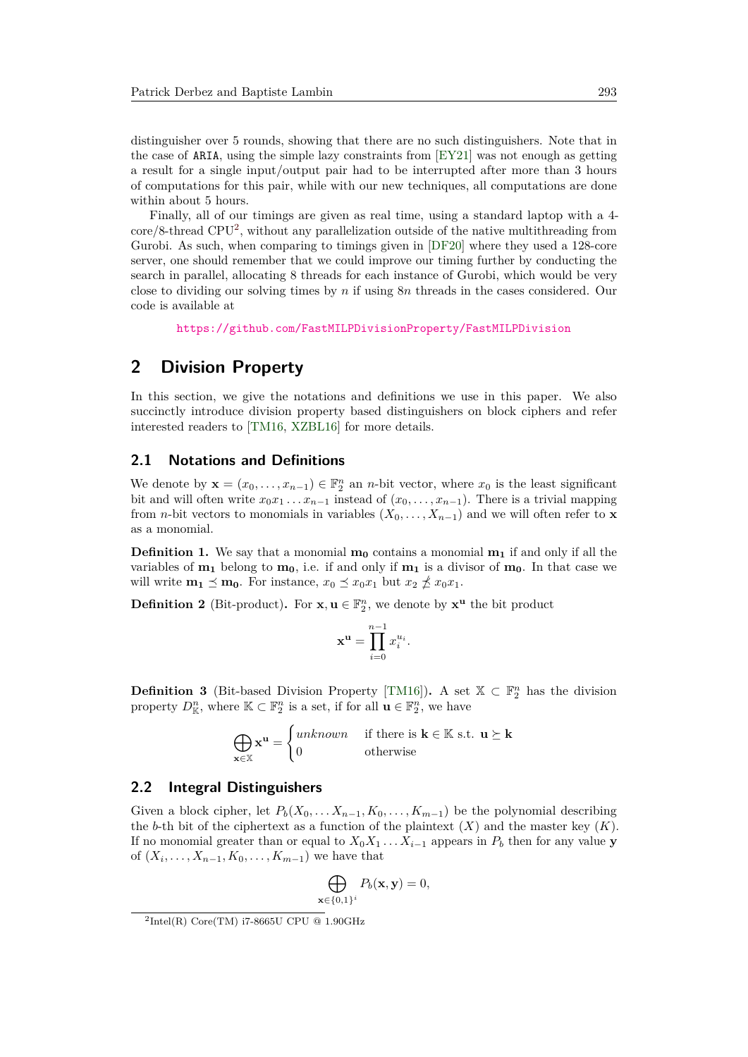distinguisher over 5 rounds, showing that there are no such distinguishers. Note that in the case of ARIA, using the simple lazy constraints from [\[EY21\]](#page-21-1) was not enough as getting a result for a single input/output pair had to be interrupted after more than 3 hours of computations for this pair, while with our new techniques, all computations are done within about 5 hours.

Finally, all of our timings are given as real time, using a standard laptop with a 4 core/8-thread CPU[2](#page-4-0) , without any parallelization outside of the native multithreading from Gurobi. As such, when comparing to timings given in [\[DF20\]](#page-21-0) where they used a 128-core server, one should remember that we could improve our timing further by conducting the search in parallel, allocating 8 threads for each instance of Gurobi, which would be very close to dividing our solving times by *n* if using 8*n* threads in the cases considered. Our code is available at

<https://github.com/FastMILPDivisionProperty/FastMILPDivision>

## **2 Division Property**

In this section, we give the notations and definitions we use in this paper. We also succinctly introduce division property based distinguishers on block ciphers and refer interested readers to [\[TM16,](#page-24-5) [XZBL16\]](#page-24-2) for more details.

## **2.1 Notations and Definitions**

We denote by  $\mathbf{x} = (x_0, \dots, x_{n-1}) \in \mathbb{F}_2^n$  an *n*-bit vector, where  $x_0$  is the least significant bit and will often write  $x_0x_1 \ldots x_{n-1}$  instead of  $(x_0, \ldots, x_{n-1})$ . There is a trivial mapping from *n*-bit vectors to monomials in variables  $(X_0, \ldots, X_{n-1})$  and we will often refer to **x** as a monomial.

**Definition 1.** We say that a monomial  $\mathbf{m}_0$  contains a monomial  $\mathbf{m}_1$  if and only if all the variables of **m<sup>1</sup>** belong to **m0**, i.e. if and only if **m<sup>1</sup>** is a divisor of **m0**. In that case we will write  $\mathbf{m}_1 \preceq \mathbf{m}_0$ . For instance,  $x_0 \preceq x_0 x_1$  but  $x_2 \npreceq x_0 x_1$ .

**Definition 2** (Bit-product). For **x**,  $\mathbf{u} \in \mathbb{F}_2^n$ , we denote by  $\mathbf{x}^{\mathbf{u}}$  the bit product

$$
\mathbf{x}^{\mathbf{u}} = \prod_{i=0}^{n-1} x_i^{u_i}.
$$

**Definition 3** (Bit-based Division Property [\[TM16\]](#page-24-5)). A set  $X \subset \mathbb{F}_2^n$  has the division property  $D_{\mathbb{K}}^n$ , where  $\mathbb{K} \subset \mathbb{F}_2^n$  is a set, if for all  $\mathbf{u} \in \mathbb{F}_2^n$ , we have

> $\bigoplus$ **x**∈X  $\mathbf{x}^{\mathbf{u}} =$  $\int$ *unknown* if there is **k**  $\in$  K s.t. **u**  $\succeq$  **k** 0 otherwise

### **2.2 Integral Distinguishers**

Given a block cipher, let  $P_b(X_0, \ldots, X_{n-1}, K_0, \ldots, K_{m-1})$  be the polynomial describing the *b*-th bit of the ciphertext as a function of the plaintext  $(X)$  and the master key  $(K)$ . If no monomial greater than or equal to  $X_0X_1 \ldots X_{i-1}$  appears in  $P_b$  then for any value **y** of  $(X_i, \ldots, X_{n-1}, K_0, \ldots, K_{m-1})$  we have that

$$
\bigoplus_{\mathbf{x}\in\{0,1\}^i} P_b(\mathbf{x}, \mathbf{y}) = 0,
$$

<span id="page-4-0"></span> ${}^{2}$ Intel(R) Core(TM) i7-8665U CPU @ 1.90GHz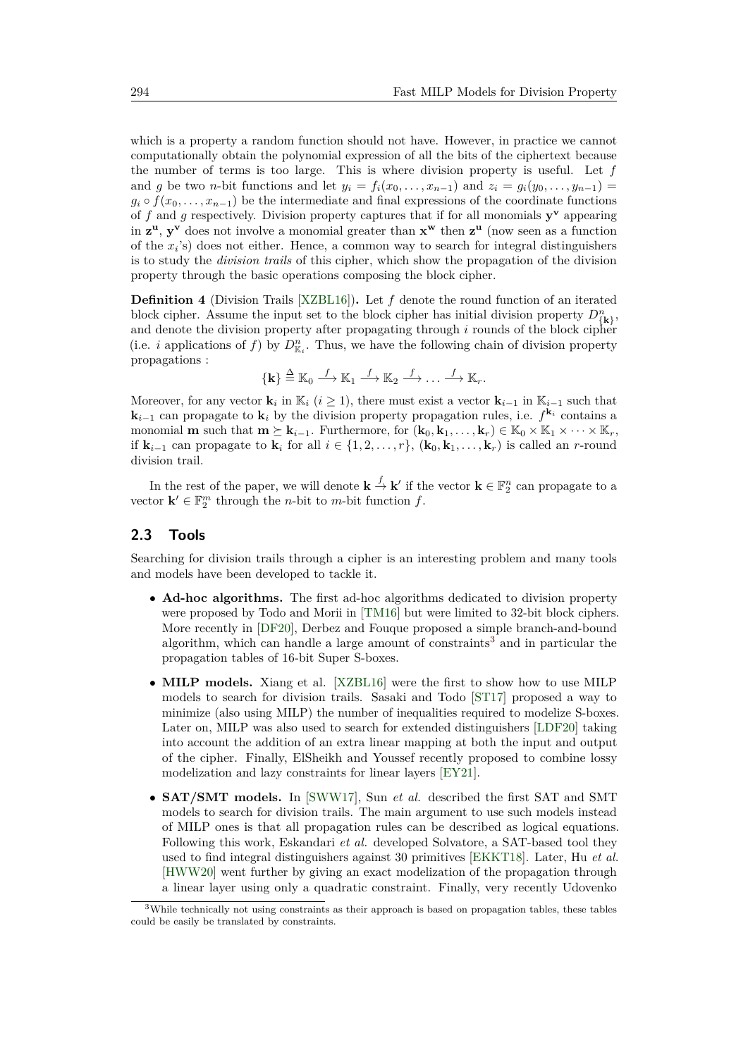which is a property a random function should not have. However, in practice we cannot computationally obtain the polynomial expression of all the bits of the ciphertext because the number of terms is too large. This is where division property is useful. Let *f* and *g* be two *n*-bit functions and let  $y_i = f_i(x_0, \ldots, x_{n-1})$  and  $z_i = g_i(y_0, \ldots, y_{n-1}) =$  $g_i \circ f(x_0, \ldots, x_{n-1})$  be the intermediate and final expressions of the coordinate functions of *f* and *g* respectively. Division property captures that if for all monomials **y <sup>v</sup>** appearing in **z <sup>u</sup>**, **y <sup>v</sup>** does not involve a monomial greater than **x <sup>w</sup>** then **z <sup>u</sup>** (now seen as a function of the *x<sup>i</sup>* 's) does not either. Hence, a common way to search for integral distinguishers is to study the *division trails* of this cipher, which show the propagation of the division property through the basic operations composing the block cipher.

**Definition 4** (Division Trails [\[XZBL16\]](#page-24-2))**.** Let *f* denote the round function of an iterated block cipher. Assume the input set to the block cipher has initial division property  $D_{\{\mathbf{k}\}}^n$ , and denote the division property after propagating through *i* rounds of the block cipher (i.e. *i* applications of *f*) by  $D_{\mathbb{K}_i}^n$ . Thus, we have the following chain of division property propagations :

$$
\{\mathbf k\} \stackrel{\Delta}{=} \mathbb K_0 \stackrel{f}{\longrightarrow} \mathbb K_1 \stackrel{f}{\longrightarrow} \mathbb K_2 \stackrel{f}{\longrightarrow} \dots \stackrel{f}{\longrightarrow} \mathbb K_r.
$$

Moreover, for any vector **k**<sub>*i*</sub> in K<sub>i</sub> (*i* ≥ 1), there must exist a vector **k**<sub>*i*</sub>-1 in K<sub>*i*</sub>-1 such that **k**<sub>*i*−1</sub> can propagate to **k**<sub>*i*</sub> by the division property propagation rules, i.e.  $f^{k_i}$  contains a monomial **m** such that  $\mathbf{m} \succeq \mathbf{k}_{i-1}$ . Furthermore, for  $(\mathbf{k}_0, \mathbf{k}_1, \ldots, \mathbf{k}_r) \in \mathbb{K}_0 \times \mathbb{K}_1 \times \cdots \times \mathbb{K}_r$ , if  $\mathbf{k}_{i-1}$  can propagate to  $\mathbf{k}_i$  for all  $i \in \{1, 2, \ldots, r\}$ ,  $(\mathbf{k}_0, \mathbf{k}_1, \ldots, \mathbf{k}_r)$  is called an *r*-round division trail.

In the rest of the paper, we will denote  $\mathbf{k} \stackrel{f}{\to} \mathbf{k}'$  if the vector  $\mathbf{k} \in \mathbb{F}_2^n$  can propagate to a vector  $\mathbf{k}' \in \mathbb{F}_2^m$  through the *n*-bit to *m*-bit function *f*.

## **2.3 Tools**

Searching for division trails through a cipher is an interesting problem and many tools and models have been developed to tackle it.

- **Ad-hoc algorithms.** The first ad-hoc algorithms dedicated to division property were proposed by Todo and Morii in [\[TM16\]](#page-24-5) but were limited to 32-bit block ciphers. More recently in [\[DF20\]](#page-21-0), Derbez and Fouque proposed a simple branch-and-bound algorithm, which can handle a large amount of constraints<sup>[3](#page-5-0)</sup> and in particular the propagation tables of 16-bit Super S-boxes.
- **MILP models.** Xiang et al. [\[XZBL16\]](#page-24-2) were the first to show how to use MILP models to search for division trails. Sasaki and Todo [\[ST17\]](#page-23-2) proposed a way to minimize (also using MILP) the number of inequalities required to modelize S-boxes. Later on, MILP was also used to search for extended distinguishers [\[LDF20\]](#page-22-3) taking into account the addition of an extra linear mapping at both the input and output of the cipher. Finally, ElSheikh and Youssef recently proposed to combine lossy modelization and lazy constraints for linear layers [\[EY21\]](#page-21-1).
- **SAT/SMT models.** In [\[SWW17\]](#page-23-0), Sun *et al.* described the first SAT and SMT models to search for division trails. The main argument to use such models instead of MILP ones is that all propagation rules can be described as logical equations. Following this work, Eskandari *et al.* developed Solvatore, a SAT-based tool they used to find integral distinguishers against 30 primitives [\[EKKT18\]](#page-21-5). Later, Hu *et al.* [\[HWW20\]](#page-22-0) went further by giving an exact modelization of the propagation through a linear layer using only a quadratic constraint. Finally, very recently Udovenko

<span id="page-5-0"></span><sup>3</sup>While technically not using constraints as their approach is based on propagation tables, these tables could be easily be translated by constraints.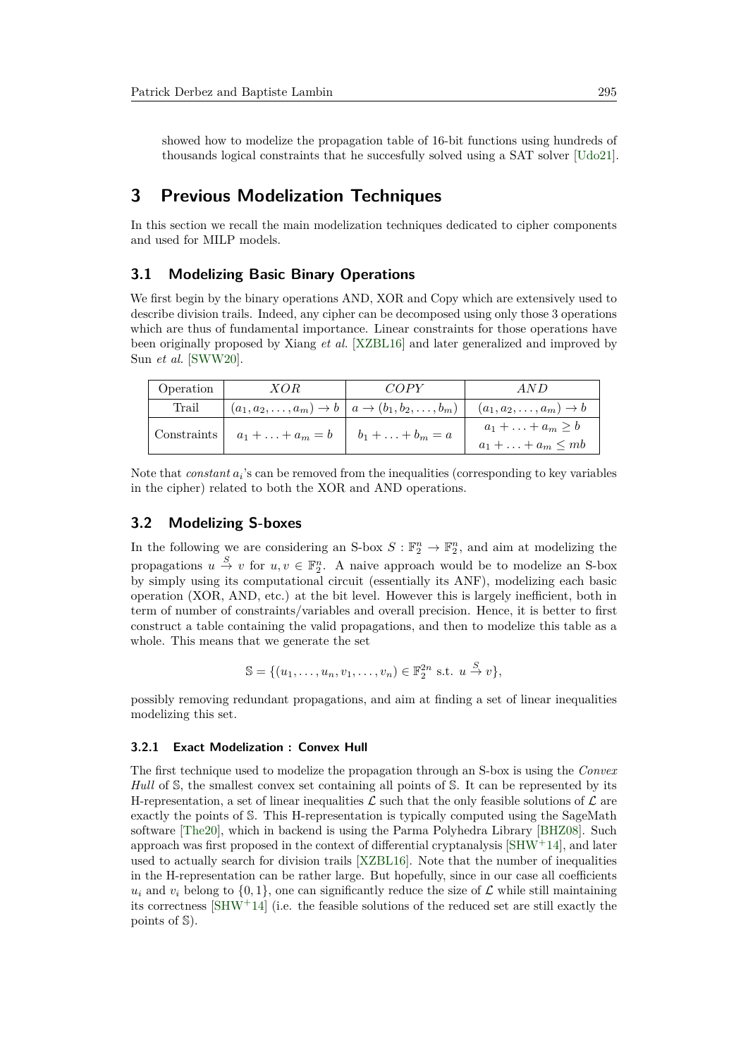showed how to modelize the propagation table of 16-bit functions using hundreds of thousands logical constraints that he succesfully solved using a SAT solver [\[Udo21\]](#page-24-0).

## **3 Previous Modelization Techniques**

In this section we recall the main modelization techniques dedicated to cipher components and used for MILP models.

### **3.1 Modelizing Basic Binary Operations**

We first begin by the binary operations AND, XOR and Copy which are extensively used to describe division trails. Indeed, any cipher can be decomposed using only those 3 operations which are thus of fundamental importance. Linear constraints for those operations have been originally proposed by Xiang *et al.* [\[XZBL16\]](#page-24-2) and later generalized and improved by Sun *et al.* [\[SWW20\]](#page-24-6).

| Operation | XOR                                                                                                                | COPY | AND                                                                              |
|-----------|--------------------------------------------------------------------------------------------------------------------|------|----------------------------------------------------------------------------------|
| Trail     |                                                                                                                    |      | $(a_1, a_2,, a_m) \to b \mid a \to (b_1, b_2,, b_m) \mid (a_1, a_2,, a_m) \to b$ |
|           | Constraints $\begin{array}{ c c c c c } \hline a_1 + \ldots + a_m = b & b_1 + \ldots + b_m = a \hline \end{array}$ |      | $a_1 + \ldots + a_m \geq b$<br>$a_1 + \ldots + a_m \leq mb$                      |

Note that *constant*  $a_i$ 's can be removed from the inequalities (corresponding to key variables in the cipher) related to both the XOR and AND operations.

#### **3.2 Modelizing S-boxes**

In the following we are considering an S-box  $S : \mathbb{F}_2^n \to \mathbb{F}_2^n$ , and aim at modelizing the propagations  $u \stackrel{S}{\to} v$  for  $u, v \in \mathbb{F}_2^n$ . A naive approach would be to modelize an S-box by simply using its computational circuit (essentially its ANF), modelizing each basic operation (XOR, AND, etc.) at the bit level. However this is largely inefficient, both in term of number of constraints/variables and overall precision. Hence, it is better to first construct a table containing the valid propagations, and then to modelize this table as a whole. This means that we generate the set

$$
\mathbb{S} = \{ (u_1, \ldots, u_n, v_1, \ldots, v_n) \in \mathbb{F}_2^{2n} \text{ s.t. } u \stackrel{S}{\to} v \},
$$

possibly removing redundant propagations, and aim at finding a set of linear inequalities modelizing this set.

#### <span id="page-6-0"></span>**3.2.1 Exact Modelization : Convex Hull**

The first technique used to modelize the propagation through an S-box is using the *Convex Hull* of S, the smallest convex set containing all points of S. It can be represented by its H-representation, a set of linear inequalities  $\mathcal L$  such that the only feasible solutions of  $\mathcal L$  are exactly the points of S. This H-representation is typically computed using the SageMath software [\[The20\]](#page-24-7), which in backend is using the Parma Polyhedra Library [\[BHZ08\]](#page-21-6). Such approach was first proposed in the context of differential cryptanalysis  $[SHW^+14]$  $[SHW^+14]$ , and later used to actually search for division trails [\[XZBL16\]](#page-24-2). Note that the number of inequalities in the H-representation can be rather large. But hopefully, since in our case all coefficients  $u_i$  and  $v_i$  belong to  $\{0, 1\}$ , one can significantly reduce the size of  $\mathcal L$  while still maintaining its correctness  $\left[\text{SHW}^+14\right]$  (i.e. the feasible solutions of the reduced set are still exactly the points of S).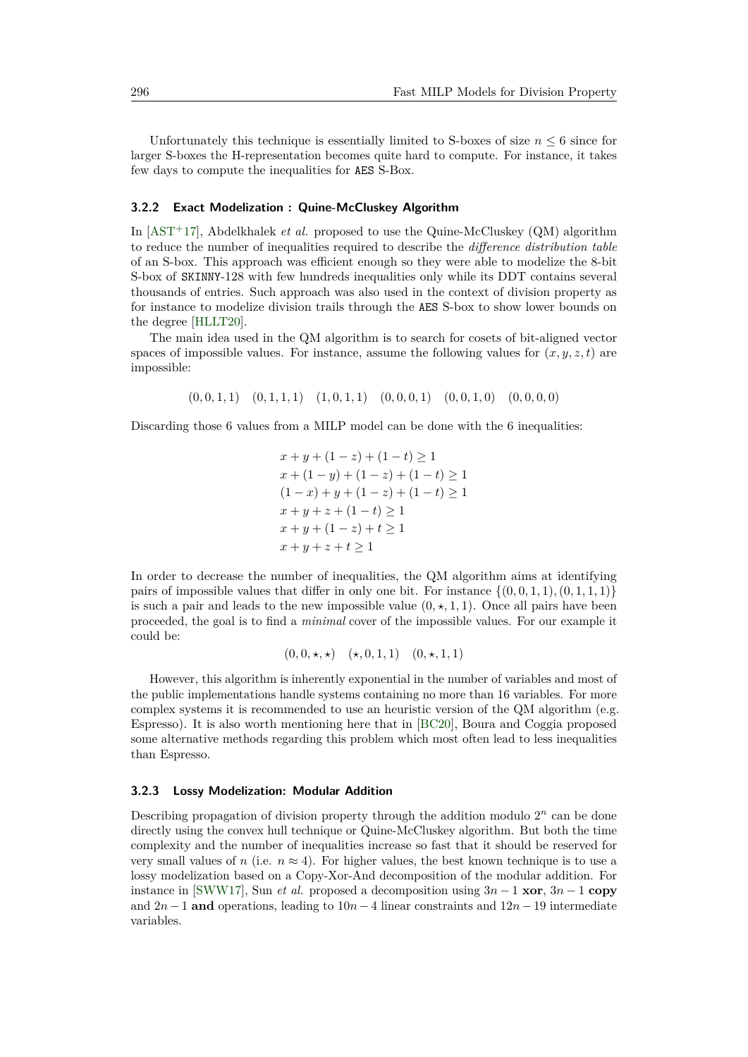Unfortunately this technique is essentially limited to S-boxes of size  $n \leq 6$  since for larger S-boxes the H-representation becomes quite hard to compute. For instance, it takes few days to compute the inequalities for AES S-Box.

#### **3.2.2 Exact Modelization : Quine-McCluskey Algorithm**

In [\[AST](#page-20-0)<sup>+</sup>17], Abdelkhalek *et al.* proposed to use the Quine-McCluskey (QM) algorithm to reduce the number of inequalities required to describe the *difference distribution table* of an S-box. This approach was efficient enough so they were able to modelize the 8-bit S-box of SKINNY-128 with few hundreds inequalities only while its DDT contains several thousands of entries. Such approach was also used in the context of division property as for instance to modelize division trails through the AES S-box to show lower bounds on the degree [\[HLLT20\]](#page-22-4).

The main idea used in the QM algorithm is to search for cosets of bit-aligned vector spaces of impossible values. For instance, assume the following values for  $(x, y, z, t)$  are impossible:

(0*,* 0*,* 1*,* 1) (0*,* 1*,* 1*,* 1) (1*,* 0*,* 1*,* 1) (0*,* 0*,* 0*,* 1) (0*,* 0*,* 1*,* 0) (0*,* 0*,* 0*,* 0)

Discarding those 6 values from a MILP model can be done with the 6 inequalities:

 $x + y + (1 - z) + (1 - t) \ge 1$  $x + (1 - y) + (1 - z) + (1 - t) \ge 1$  $(1-x) + y + (1-z) + (1-t) \ge 1$  $x + y + z + (1 - t) \geq 1$  $x + y + (1 - z) + t \geq 1$  $x + y + z + t > 1$ 

In order to decrease the number of inequalities, the QM algorithm aims at identifying pairs of impossible values that differ in only one bit. For instance  $\{(0, 0, 1, 1), (0, 1, 1, 1)\}\$ is such a pair and leads to the new impossible value  $(0, \star, 1, 1)$ . Once all pairs have been proceeded, the goal is to find a *minimal* cover of the impossible values. For our example it could be:

$$
(0,0,\star,\star)
$$
  $(\star,0,1,1)$   $(0,\star,1,1)$ 

However, this algorithm is inherently exponential in the number of variables and most of the public implementations handle systems containing no more than 16 variables. For more complex systems it is recommended to use an heuristic version of the QM algorithm (e.g. Espresso). It is also worth mentioning here that in [\[BC20\]](#page-21-3), Boura and Coggia proposed some alternative methods regarding this problem which most often lead to less inequalities than Espresso.

#### **3.2.3 Lossy Modelization: Modular Addition**

Describing propagation of division property through the addition modulo  $2<sup>n</sup>$  can be done directly using the convex hull technique or Quine-McCluskey algorithm. But both the time complexity and the number of inequalities increase so fast that it should be reserved for very small values of *n* (i.e.  $n \approx 4$ ). For higher values, the best known technique is to use a lossy modelization based on a Copy-Xor-And decomposition of the modular addition. For instance in [\[SWW17\]](#page-23-0), Sun *et al.* proposed a decomposition using  $3n - 1$ **xor**,  $3n - 1$ **copy** and 2*n*− 1 **and** operations, leading to 10*n*− 4 linear constraints and 12*n*−19 intermediate variables.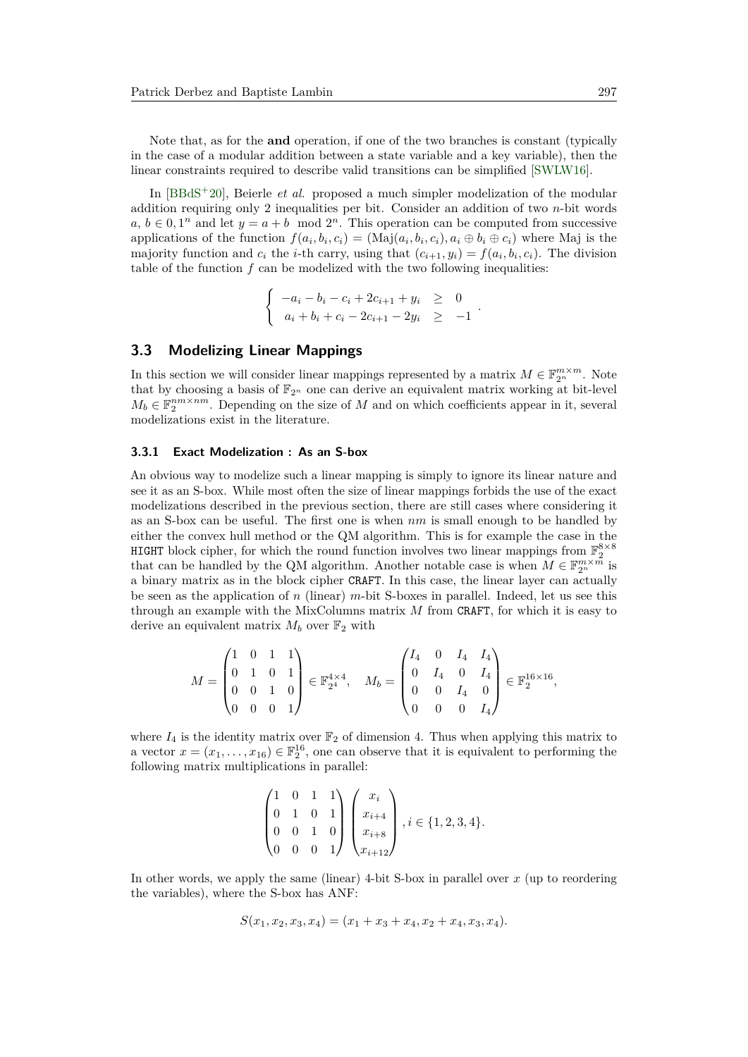Note that, as for the **and** operation, if one of the two branches is constant (typically in the case of a modular addition between a state variable and a key variable), then the linear constraints required to describe valid transitions can be simplified [\[SWLW16\]](#page-23-7).

In [\[BBdS](#page-20-1)<sup>+</sup>20], Beierle *et al.* proposed a much simpler modelization of the modular addition requiring only 2 inequalities per bit. Consider an addition of two *n*-bit words  $a, b \in [0, 1^n]$  and let  $y = a + b \mod 2^n$ . This operation can be computed from successive applications of the function  $f(a_i, b_i, c_i) = (Maj(a_i, b_i, c_i), a_i \oplus b_i \oplus c_i)$  where Maj is the majority function and  $c_i$  the *i*-th carry, using that  $(c_{i+1}, y_i) = f(a_i, b_i, c_i)$ . The division table of the function  $f$  can be modelized with the two following inequalities:

$$
\begin{cases}\n-a_i - b_i - c_i + 2c_{i+1} + y_i \ge 0 \\
a_i + b_i + c_i - 2c_{i+1} - 2y_i \ge -1\n\end{cases}
$$

*.*

#### **3.3 Modelizing Linear Mappings**

In this section we will consider linear mappings represented by a matrix  $M \in \mathbb{F}_{2^n}^{m \times m}$ . Note that by choosing a basis of  $\mathbb{F}_{2^n}$  one can derive an equivalent matrix working at bit-level  $M_b \in \mathbb{F}_2^{nm \times nm}$ . Depending on the size of *M* and on which coefficients appear in it, several modelizations exist in the literature.

#### <span id="page-8-0"></span>**3.3.1 Exact Modelization : As an S-box**

An obvious way to modelize such a linear mapping is simply to ignore its linear nature and see it as an S-box. While most often the size of linear mappings forbids the use of the exact modelizations described in the previous section, there are still cases where considering it as an S-box can be useful. The first one is when *nm* is small enough to be handled by either the convex hull method or the QM algorithm. This is for example the case in the HIGHT block cipher, for which the round function involves two linear mappings from  $\mathbb{F}_2^{8\times 8}$ that can be handled by the QM algorithm. Another notable case is when  $M \in \mathbb{F}_{2^n}^{m \times \bar{m}}$  is a binary matrix as in the block cipher CRAFT. In this case, the linear layer can actually be seen as the application of *n* (linear) *m*-bit S-boxes in parallel. Indeed, let us see this through an example with the MixColumns matrix *M* from CRAFT, for which it is easy to derive an equivalent matrix  $M_b$  over  $\mathbb{F}_2$  with

$$
M = \begin{pmatrix} 1 & 0 & 1 & 1 \\ 0 & 1 & 0 & 1 \\ 0 & 0 & 1 & 0 \\ 0 & 0 & 0 & 1 \end{pmatrix} \in \mathbb{F}_{2^4}^{4 \times 4}, \quad M_b = \begin{pmatrix} I_4 & 0 & I_4 & I_4 \\ 0 & I_4 & 0 & I_4 \\ 0 & 0 & I_4 & 0 \\ 0 & 0 & 0 & I_4 \end{pmatrix} \in \mathbb{F}_{2}^{16 \times 16},
$$

where  $I_4$  is the identity matrix over  $\mathbb{F}_2$  of dimension 4. Thus when applying this matrix to a vector  $x = (x_1, \ldots, x_{16}) \in \mathbb{F}_2^{16}$ , one can observe that it is equivalent to performing the following matrix multiplications in parallel:

$$
\begin{pmatrix} 1 & 0 & 1 & 1 \\ 0 & 1 & 0 & 1 \\ 0 & 0 & 1 & 0 \\ 0 & 0 & 0 & 1 \end{pmatrix} \begin{pmatrix} x_i \\ x_{i+4} \\ x_{i+8} \\ x_{i+12} \end{pmatrix}, i \in \{1, 2, 3, 4\}.
$$

In other words, we apply the same (linear) 4-bit S-box in parallel over *x* (up to reordering the variables), where the S-box has ANF:

$$
S(x_1, x_2, x_3, x_4) = (x_1 + x_3 + x_4, x_2 + x_4, x_3, x_4).
$$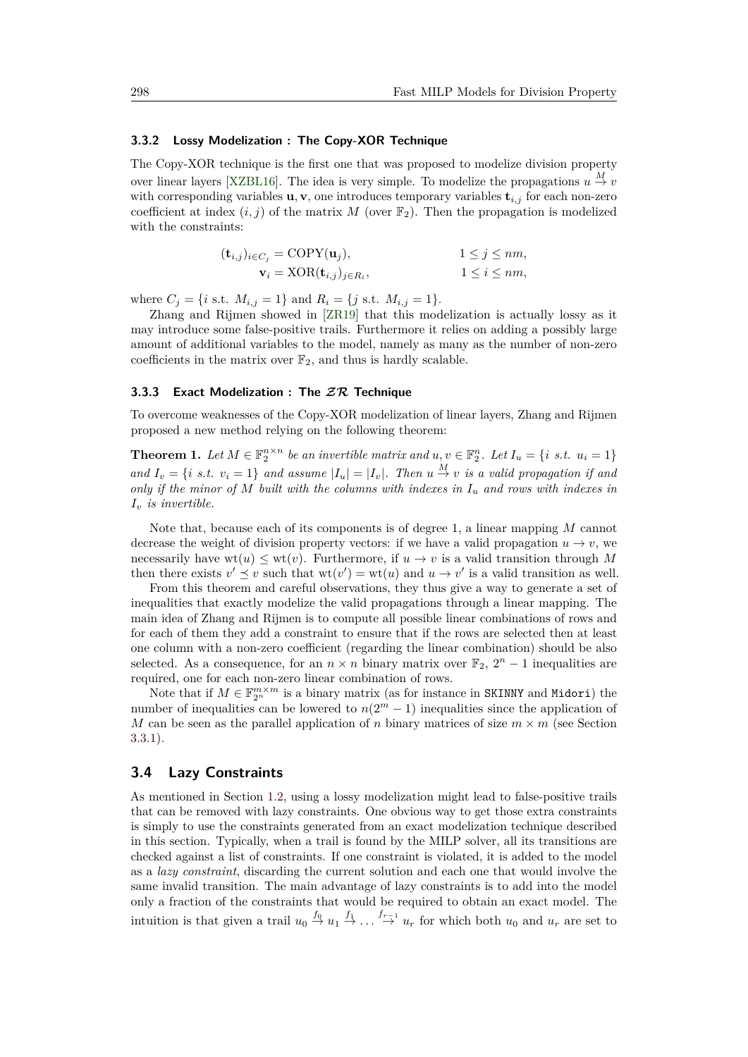#### <span id="page-9-1"></span>**3.3.2 Lossy Modelization : The Copy-XOR Technique**

The Copy-XOR technique is the first one that was proposed to modelize division property over linear layers [\[XZBL16\]](#page-24-2). The idea is very simple. To modelize the propagations  $u \stackrel{M}{\to} v$ with corresponding variables  $\mathbf{u}, \mathbf{v}$ , one introduces temporary variables  $\mathbf{t}_{i,j}$  for each non-zero coefficient at index  $(i, j)$  of the matrix *M* (over  $\mathbb{F}_2$ ). Then the propagation is modelized with the constraints:

| $(\mathbf{t}_{i,j})_{i \in C_j} = \text{COPY}(\mathbf{u}_j),$ | $1 \leq j \leq nm$ , |
|---------------------------------------------------------------|----------------------|
| $\mathbf{v}_i = \text{XOR}(\mathbf{t}_{i,j})_{j \in R_i},$    | $1 \leq i \leq nm$ , |

where  $C_j = \{i \text{ s.t. } M_{i,j} = 1\}$  and  $R_i = \{j \text{ s.t. } M_{i,j} = 1\}.$ 

Zhang and Rijmen showed in [\[ZR19\]](#page-24-3) that this modelization is actually lossy as it may introduce some false-positive trails. Furthermore it relies on adding a possibly large amount of additional variables to the model, namely as many as the number of non-zero coefficients in the matrix over  $\mathbb{F}_2$ , and thus is hardly scalable.

### <span id="page-9-0"></span>**3.3.3 Exact Modelization : The ZR Technique**

To overcome weaknesses of the Copy-XOR modelization of linear layers, Zhang and Rijmen proposed a new method relying on the following theorem:

**Theorem 1.** Let  $M \in \mathbb{F}_2^{n \times n}$  be an invertible matrix and  $u, v \in \mathbb{F}_2^n$ . Let  $I_u = \{i \text{ s.t. } u_i = 1\}$ *and*  $I_v = \{i \text{ s.t. } v_i = 1\}$  and assume  $|I_u| = |I_v|$ . Then  $u \stackrel{M}{\rightarrow} v$  is a valid propagation if and *only if the minor of M built with the columns with indexes in I<sup>u</sup> and rows with indexes in I<sup>v</sup> is invertible.*

Note that, because each of its components is of degree 1, a linear mapping *M* cannot decrease the weight of division property vectors: if we have a valid propagation  $u \to v$ , we necessarily have  $wt(u) \leq wt(v)$ . Furthermore, if  $u \to v$  is a valid transition through M then there exists  $v' \leq v$  such that  $wt(v') = wt(u)$  and  $u \to v'$  is a valid transition as well.

From this theorem and careful observations, they thus give a way to generate a set of inequalities that exactly modelize the valid propagations through a linear mapping. The main idea of Zhang and Rijmen is to compute all possible linear combinations of rows and for each of them they add a constraint to ensure that if the rows are selected then at least one column with a non-zero coefficient (regarding the linear combination) should be also selected. As a consequence, for an  $n \times n$  binary matrix over  $\mathbb{F}_2$ ,  $2^n - 1$  inequalities are required, one for each non-zero linear combination of rows.

Note that if  $M \in \mathbb{F}_{2^n}^{m \times m}$  is a binary matrix (as for instance in SKINNY and Midori) the number of inequalities can be lowered to  $n(2^m - 1)$  inequalities since the application of *M* can be seen as the parallel application of *n* binary matrices of size  $m \times m$  (see Section [3.3.1\)](#page-8-0).

### <span id="page-9-2"></span>**3.4 Lazy Constraints**

As mentioned in Section [1.2,](#page-1-0) using a lossy modelization might lead to false-positive trails that can be removed with lazy constraints. One obvious way to get those extra constraints is simply to use the constraints generated from an exact modelization technique described in this section. Typically, when a trail is found by the MILP solver, all its transitions are checked against a list of constraints. If one constraint is violated, it is added to the model as a *lazy constraint*, discarding the current solution and each one that would involve the same invalid transition. The main advantage of lazy constraints is to add into the model only a fraction of the constraints that would be required to obtain an exact model. The intuition is that given a trail  $u_0 \stackrel{f_0}{\rightarrow} u_1 \stackrel{f_1}{\rightarrow} \ldots \stackrel{f_{r-1}}{\rightarrow} u_r$  for which both  $u_0$  and  $u_r$  are set to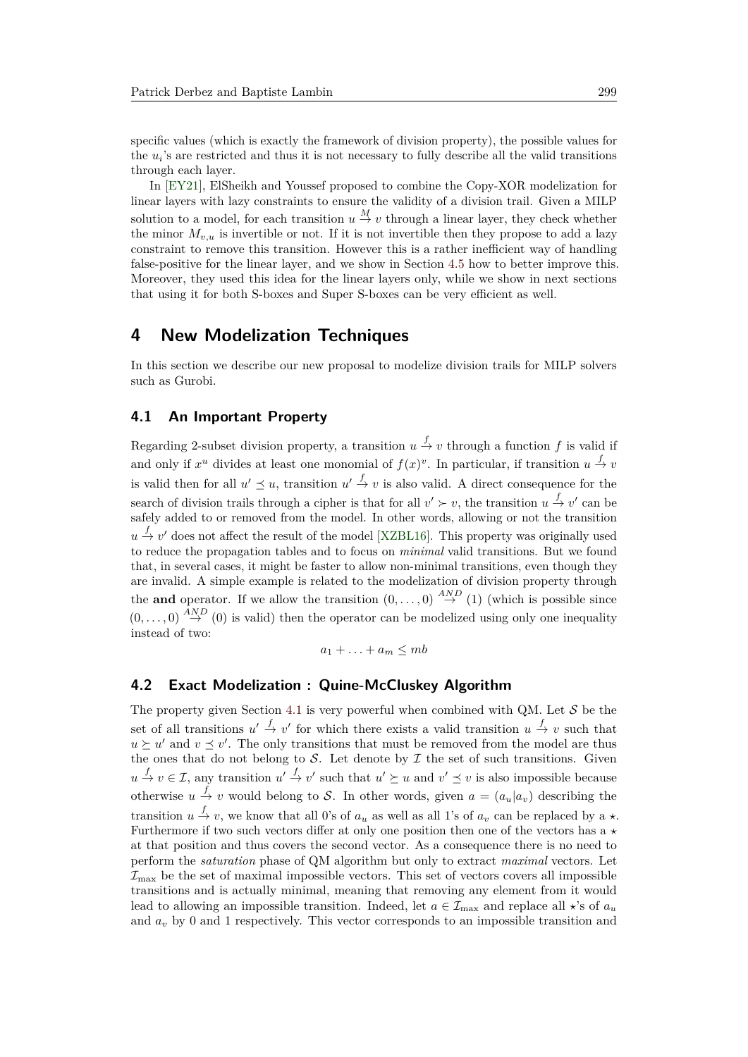specific values (which is exactly the framework of division property), the possible values for the  $u_i$ 's are restricted and thus it is not necessary to fully describe all the valid transitions through each layer.

In [\[EY21\]](#page-21-1), ElSheikh and Youssef proposed to combine the Copy-XOR modelization for linear layers with lazy constraints to ensure the validity of a division trail. Given a MILP solution to a model, for each transition  $u \stackrel{M}{\to} v$  through a linear layer, they check whether the minor  $M_{v,u}$  is invertible or not. If it is not invertible then they propose to add a lazy constraint to remove this transition. However this is a rather inefficient way of handling false-positive for the linear layer, and we show in Section [4.5](#page-14-0) how to better improve this. Moreover, they used this idea for the linear layers only, while we show in next sections that using it for both S-boxes and Super S-boxes can be very efficient as well.

## **4 New Modelization Techniques**

In this section we describe our new proposal to modelize division trails for MILP solvers such as Gurobi.

#### <span id="page-10-0"></span>**4.1 An Important Property**

Regarding 2-subset division property, a transition  $u \stackrel{f}{\to} v$  through a function f is valid if and only if  $x^u$  divides at least one monomial of  $f(x)^v$ . In particular, if transition  $u \stackrel{f}{\to} v$ is valid then for all  $u' \preceq u$ , transition  $u' \stackrel{f}{\rightarrow} v$  is also valid. A direct consequence for the search of division trails through a cipher is that for all  $v' \succ v$ , the transition  $u \stackrel{f}{\to} v'$  can be safely added to or removed from the model. In other words, allowing or not the transition  $u \stackrel{f}{\rightarrow} v'$  does not affect the result of the model [\[XZBL16\]](#page-24-2). This property was originally used to reduce the propagation tables and to focus on *minimal* valid transitions. But we found that, in several cases, it might be faster to allow non-minimal transitions, even though they are invalid. A simple example is related to the modelization of division property through the **and** operator. If we allow the transition  $(0, \ldots, 0) \stackrel{AND}{\rightarrow} (1)$  (which is possible since  $(0,\ldots,0) \stackrel{AND}{\rightarrow} (0)$  is valid) then the operator can be modelized using only one inequality instead of two:

$$
a_1 + \ldots + a_m \leq mb
$$

#### <span id="page-10-1"></span>**4.2 Exact Modelization : Quine-McCluskey Algorithm**

The property given Section [4.1](#page-10-0) is very powerful when combined with QM. Let  $S$  be the set of all transitions  $u' \stackrel{f}{\to} v'$  for which there exists a valid transition  $u \stackrel{f}{\to} v$  such that  $u \succeq u'$  and  $v \preceq v'$ . The only transitions that must be removed from the model are thus the ones that do not belong to  $S$ . Let denote by  $I$  the set of such transitions. Given  $u \stackrel{f}{\to} v \in \mathcal{I}$ , any transition  $u' \stackrel{f}{\to} v'$  such that  $u' \succeq u$  and  $v' \preceq v$  is also impossible because otherwise  $u \stackrel{f}{\to} v$  would belong to S. In other words, given  $a = (a_u | a_v)$  describing the transition  $u \stackrel{f}{\to} v$ , we know that all 0's of  $a_u$  as well as all 1's of  $a_v$  can be replaced by a  $\star$ . Furthermore if two such vectors differ at only one position then one of the vectors has a  $\star$ at that position and thus covers the second vector. As a consequence there is no need to perform the *saturation* phase of QM algorithm but only to extract *maximal* vectors. Let  $\mathcal{I}_{\text{max}}$  be the set of maximal impossible vectors. This set of vectors covers all impossible transitions and is actually minimal, meaning that removing any element from it would lead to allowing an impossible transition. Indeed, let  $a \in \mathcal{I}_{\text{max}}$  and replace all  $\star$ 's of  $a_u$ and *a<sup>v</sup>* by 0 and 1 respectively. This vector corresponds to an impossible transition and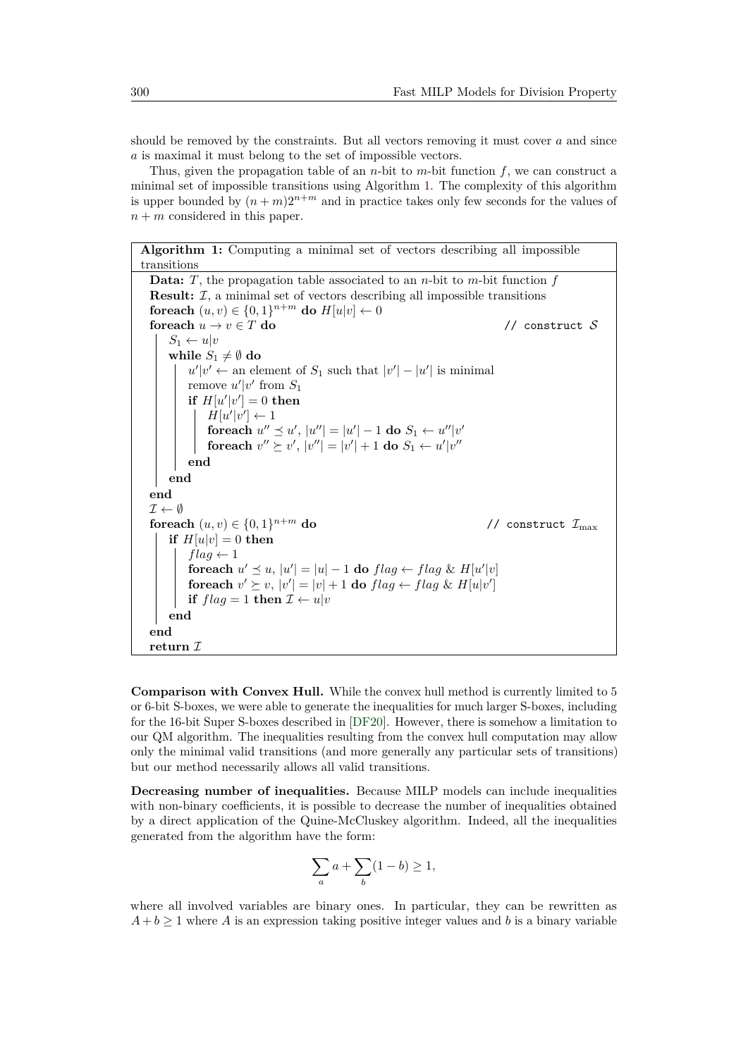should be removed by the constraints. But all vectors removing it must cover *a* and since *a* is maximal it must belong to the set of impossible vectors.

Thus, given the propagation table of an *n*-bit to *m*-bit function *f*, we can construct a minimal set of impossible transitions using Algorithm [1.](#page-11-0) The complexity of this algorithm is upper bounded by  $(n+m)2^{n+m}$  and in practice takes only few seconds for the values of  $n + m$  considered in this paper.

<span id="page-11-0"></span>**Algorithm 1:** Computing a minimal set of vectors describing all impossible transitions **Data:** *T*, the propagation table associated to an *n*-bit to *m*-bit function *f* **Result:**  $I$ , a minimal set of vectors describing all impossible transitions **foreach**  $(u, v) \in \{0, 1\}^{n+m}$  do  $H[u|v] \leftarrow 0$ **foreach**  $u \to v \in T$  **do** // construct S  $S_1 \leftarrow u|v$ **while**  $S_1 \neq \emptyset$  **do**  $u'|v' \leftarrow$  an element of  $S_1$  such that  $|v'| - |u'|$  is minimal remove  $u'|v'$  from  $S_1$ **if**  $H[u'|v'] = 0$  **then**  $H[u'|v'] \leftarrow 1$ **foreach**  $u'' \preceq u'$ ,  $|u''| = |u'| - 1$  **do**  $S_1 \leftarrow u''|v'$ **foreach**  $v'' \succeq v'$ ,  $|v''| = |v'| + 1$  **do**  $S_1 \leftarrow u'|v''$ **end end end**  $\mathcal{I} \leftarrow \emptyset$ **foreach**  $(u, v) \in \{0, 1\}^{n+m}$  do // construct  $\mathcal{I}_{\text{max}}$ **if**  $H[u]v] = 0$  **then**  $flag \leftarrow 1$  $\mathbf{for each} \ u' \preceq u, |u'| = |u| - 1 \ \mathbf{do} \ flag \leftarrow flag \ \& \ H[u'|v]$ foreach  $v' \succeq v$ ,  $|v'| = |v| + 1$  do  $flag \leftarrow flag \& H[u|v']$ **if**  $flag = 1$  **then**  $\mathcal{I} \leftarrow u|v$ **end end return** I

**Comparison with Convex Hull.** While the convex hull method is currently limited to 5 or 6-bit S-boxes, we were able to generate the inequalities for much larger S-boxes, including for the 16-bit Super S-boxes described in [\[DF20\]](#page-21-0). However, there is somehow a limitation to our QM algorithm. The inequalities resulting from the convex hull computation may allow only the minimal valid transitions (and more generally any particular sets of transitions) but our method necessarily allows all valid transitions.

**Decreasing number of inequalities.** Because MILP models can include inequalities with non-binary coefficients, it is possible to decrease the number of inequalities obtained by a direct application of the Quine-McCluskey algorithm. Indeed, all the inequalities generated from the algorithm have the form:

$$
\sum_{a} a + \sum_{b} (1 - b) \ge 1,
$$

where all involved variables are binary ones. In particular, they can be rewritten as  $A + b \geq 1$  where *A* is an expression taking positive integer values and *b* is a binary variable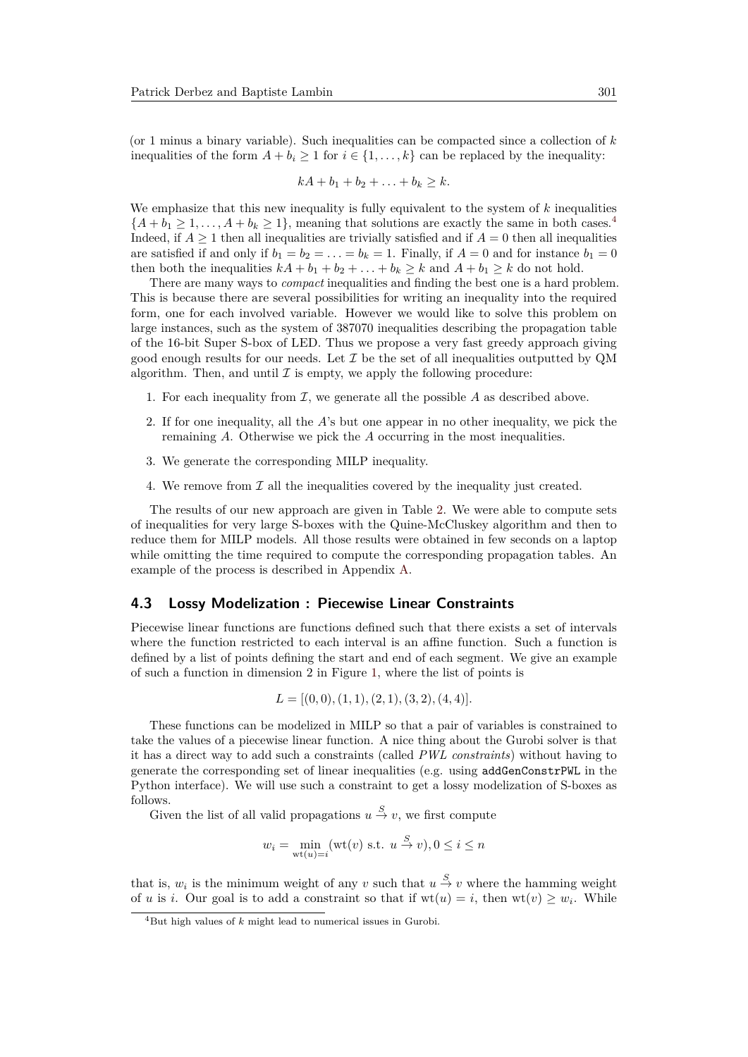(or 1 minus a binary variable). Such inequalities can be compacted since a collection of *k* inequalities of the form  $A + b_i \ge 1$  for  $i \in \{1, ..., k\}$  can be replaced by the inequality:

$$
kA + b_1 + b_2 + \ldots + b_k \geq k.
$$

We emphasize that this new inequality is fully equivalent to the system of *k* inequalities  ${A + b_1 \geq 1, ..., A + b_k \geq 1}$ , meaning that solutions are exactly the same in both cases.<sup>[4](#page-12-0)</sup> Indeed, if  $A \geq 1$  then all inequalities are trivially satisfied and if  $A = 0$  then all inequalities are satisfied if and only if  $b_1 = b_2 = \ldots = b_k = 1$ . Finally, if  $A = 0$  and for instance  $b_1 = 0$ then both the inequalities  $kA + b_1 + b_2 + \ldots + b_k \geq k$  and  $A + b_1 \geq k$  do not hold.

There are many ways to *compact* inequalities and finding the best one is a hard problem. This is because there are several possibilities for writing an inequality into the required form, one for each involved variable. However we would like to solve this problem on large instances, such as the system of 387070 inequalities describing the propagation table of the 16-bit Super S-box of LED. Thus we propose a very fast greedy approach giving good enough results for our needs. Let  $\mathcal I$  be the set of all inequalities outputted by QM algorithm. Then, and until  $\mathcal I$  is empty, we apply the following procedure:

- 1. For each inequality from  $\mathcal{I}$ , we generate all the possible  $A$  as described above.
- 2. If for one inequality, all the *A*'s but one appear in no other inequality, we pick the remaining *A*. Otherwise we pick the *A* occurring in the most inequalities.
- 3. We generate the corresponding MILP inequality.
- 4. We remove from  $\mathcal I$  all the inequalities covered by the inequality just created.

The results of our new approach are given in Table [2.](#page-16-0) We were able to compute sets of inequalities for very large S-boxes with the Quine-McCluskey algorithm and then to reduce them for MILP models. All those results were obtained in few seconds on a laptop while omitting the time required to compute the corresponding propagation tables. An example of the process is described in Appendix [A.](#page-25-0)

#### <span id="page-12-1"></span>**4.3 Lossy Modelization : Piecewise Linear Constraints**

Piecewise linear functions are functions defined such that there exists a set of intervals where the function restricted to each interval is an affine function. Such a function is defined by a list of points defining the start and end of each segment. We give an example of such a function in dimension 2 in Figure [1,](#page-13-0) where the list of points is

$$
L = [(0,0), (1,1), (2,1), (3,2), (4,4)].
$$

These functions can be modelized in MILP so that a pair of variables is constrained to take the values of a piecewise linear function. A nice thing about the Gurobi solver is that it has a direct way to add such a constraints (called *PWL constraints*) without having to generate the corresponding set of linear inequalities (e.g. using addGenConstrPWL in the Python interface). We will use such a constraint to get a lossy modelization of S-boxes as follows.

Given the list of all valid propagations  $u \stackrel{S}{\rightarrow} v$ , we first compute

$$
w_i = \min_{\text{wt}(u)=i} (\text{wt}(v) \text{ s.t. } u \stackrel{S}{\to} v), 0 \le i \le n
$$

that is,  $w_i$  is the minimum weight of any  $v$  such that  $u \stackrel{S}{\to} v$  where the hamming weight of *u* is *i*. Our goal is to add a constraint so that if  $wt(u) = i$ , then  $wt(v) \geq w_i$ . While

<span id="page-12-0"></span><sup>4</sup>But high values of *k* might lead to numerical issues in Gurobi.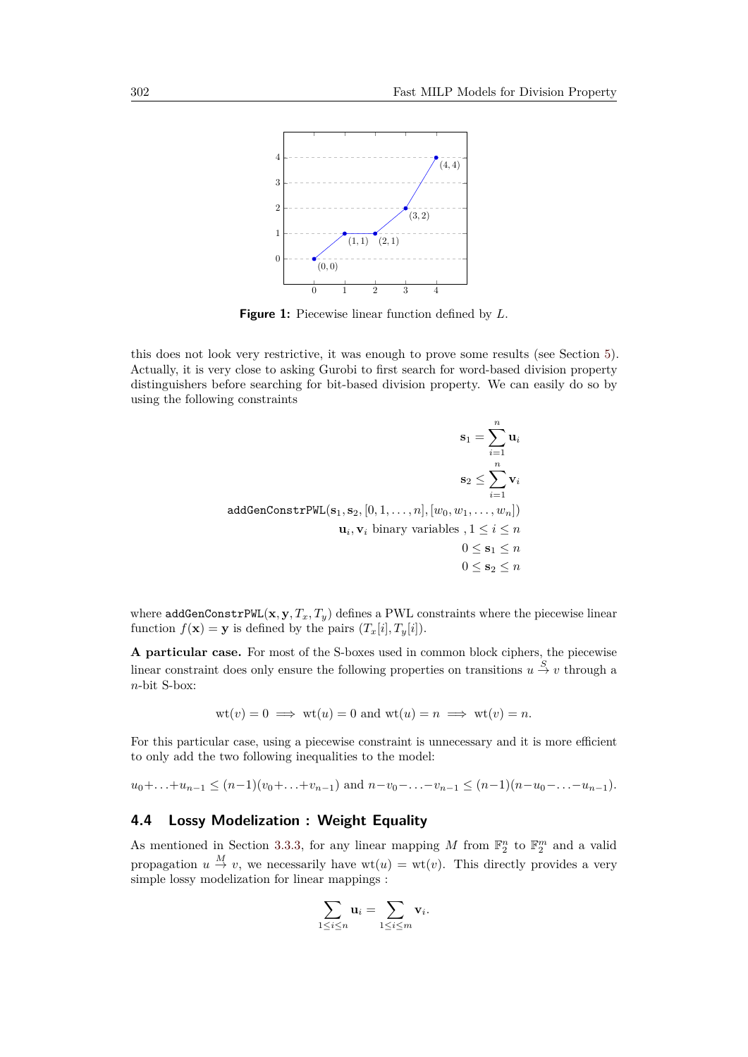<span id="page-13-0"></span>

**Figure 1:** Piecewise linear function defined by *L*.

this does not look very restrictive, it was enough to prove some results (see Section [5\)](#page-15-0). Actually, it is very close to asking Gurobi to first search for word-based division property distinguishers before searching for bit-based division property. We can easily do so by using the following constraints

$$
\mathbf{s}_1 = \sum_{i=1}^n \mathbf{u}_i
$$

$$
\mathbf{s}_2 \le \sum_{i=1}^n \mathbf{v}_i
$$

$$
\mathbf{addGenConstruct}[\mathbf{s}_1, \mathbf{s}_2, [0, 1, \dots, n], [w_0, w_1, \dots, w_n])
$$

$$
\mathbf{u}_i, \mathbf{v}_i \text{ binary variables }, 1 \le i \le n
$$

$$
0 \le \mathbf{s}_1 \le n
$$

$$
0 \le \mathbf{s}_2 \le n
$$

where  $\text{addGenConstruct}(x, y, T_x, T_y)$  defines a PWL constraints where the piecewise linear function  $f(\mathbf{x}) = \mathbf{y}$  is defined by the pairs  $(T_x[i], T_y[i])$ .

**A particular case.** For most of the S-boxes used in common block ciphers, the piecewise linear constraint does only ensure the following properties on transitions  $u \stackrel{S}{\rightarrow} v$  through a *n*-bit S-box:

$$
wt(v) = 0 \implies wt(u) = 0 \text{ and } wt(u) = n \implies wt(v) = n.
$$

For this particular case, using a piecewise constraint is unnecessary and it is more efficient to only add the two following inequalities to the model:

 $u_0 + \ldots + u_{n-1} \leq (n-1)(v_0 + \ldots + v_{n-1})$  and  $n-v_0 - \ldots - v_{n-1} \leq (n-1)(n-u_0 - \ldots - u_{n-1}).$ 

## <span id="page-13-1"></span>**4.4 Lossy Modelization : Weight Equality**

As mentioned in Section [3.3.3,](#page-9-0) for any linear mapping M from  $\mathbb{F}_2^n$  to  $\mathbb{F}_2^m$  and a valid propagation  $u \stackrel{M}{\to} v$ , we necessarily have  $wt(u) = wt(v)$ . This directly provides a very simple lossy modelization for linear mappings :

$$
\sum_{1\leq i\leq n}\mathbf{u}_i=\sum_{1\leq i\leq m}\mathbf{v}_i.
$$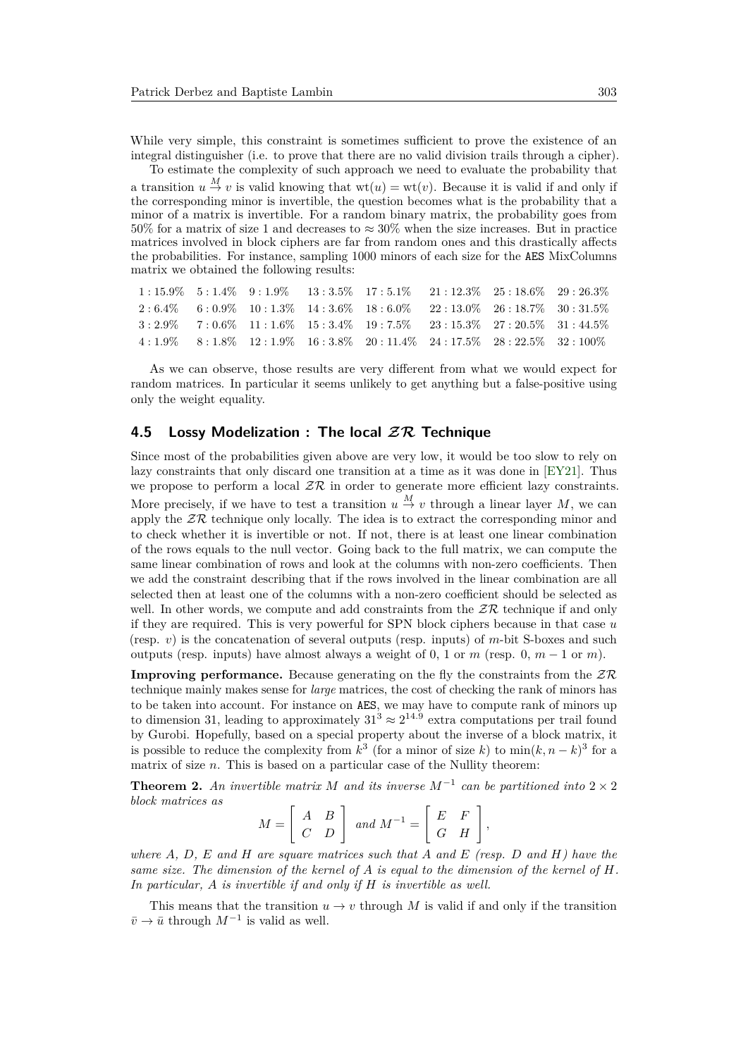While very simple, this constraint is sometimes sufficient to prove the existence of an integral distinguisher (i.e. to prove that there are no valid division trails through a cipher).

To estimate the complexity of such approach we need to evaluate the probability that a transition  $u \stackrel{M}{\to} v$  is valid knowing that  $wt(u) = wt(v)$ . Because it is valid if and only if the corresponding minor is invertible, the question becomes what is the probability that a minor of a matrix is invertible. For a random binary matrix, the probability goes from 50% for a matrix of size 1 and decreases to  $\approx 30\%$  when the size increases. But in practice matrices involved in block ciphers are far from random ones and this drastically affects the probabilities. For instance, sampling 1000 minors of each size for the AES MixColumns matrix we obtained the following results:

|  |  |  | $1:15.9\%$ $5:1.4\%$ $9:1.9\%$ $13:3.5\%$ $17:5.1\%$ $21:12.3\%$ $25:18.6\%$ $29:26.3\%$ |  |
|--|--|--|------------------------------------------------------------------------------------------|--|
|  |  |  | $2:6.4\%$ 6:0.9\% 10:1.3\% 14:3.6\% 18:6.0\% 22:13.0\% 26:18.7\% 30:31.5\%               |  |
|  |  |  | $3:2.9\%$ $7:0.6\%$ $11:1.6\%$ $15:3.4\%$ $19:7.5\%$ $23:15.3\%$ $27:20.5\%$ $31:44.5\%$ |  |
|  |  |  | $4:1.9\%$ $8:1.8\%$ $12:1.9\%$ $16:3.8\%$ $20:11.4\%$ $24:17.5\%$ $28:22.5\%$ $32:100\%$ |  |

As we can observe, those results are very different from what we would expect for random matrices. In particular it seems unlikely to get anything but a false-positive using only the weight equality.

#### <span id="page-14-0"></span>**4.5 Lossy Modelization : The local ZR Technique**

Since most of the probabilities given above are very low, it would be too slow to rely on lazy constraints that only discard one transition at a time as it was done in [\[EY21\]](#page-21-1). Thus we propose to perform a local  $\mathcal{ZR}$  in order to generate more efficient lazy constraints. More precisely, if we have to test a transition  $u \stackrel{M}{\to} v$  through a linear layer M, we can apply the  $Z\mathcal{R}$  technique only locally. The idea is to extract the corresponding minor and to check whether it is invertible or not. If not, there is at least one linear combination of the rows equals to the null vector. Going back to the full matrix, we can compute the same linear combination of rows and look at the columns with non-zero coefficients. Then we add the constraint describing that if the rows involved in the linear combination are all selected then at least one of the columns with a non-zero coefficient should be selected as well. In other words, we compute and add constraints from the  $\mathcal{ZR}$  technique if and only if they are required. This is very powerful for SPN block ciphers because in that case *u* (resp. *v*) is the concatenation of several outputs (resp. inputs) of *m*-bit S-boxes and such outputs (resp. inputs) have almost always a weight of 0, 1 or  $m$  (resp. 0,  $m-1$  or  $m$ ).

**Improving performance.** Because generating on the fly the constraints from the  $Z\mathcal{R}$ technique mainly makes sense for *large* matrices, the cost of checking the rank of minors has to be taken into account. For instance on AES, we may have to compute rank of minors up to dimension 31, leading to approximately  $31^3 \approx 2^{14.9}$  extra computations per trail found by Gurobi. Hopefully, based on a special property about the inverse of a block matrix, it is possible to reduce the complexity from  $k^3$  (for a minor of size *k*) to  $\min(k, n-k)^3$  for a matrix of size *n*. This is based on a particular case of the Nullity theorem:

**Theorem 2.** An invertible matrix M and its inverse  $M^{-1}$  can be partitioned into  $2 \times 2$ *block matrices as*

$$
M = \left[ \begin{array}{cc} A & B \\ C & D \end{array} \right] \text{ and } M^{-1} = \left[ \begin{array}{cc} E & F \\ G & H \end{array} \right],
$$

*where A, D, E and H are square matrices such that A and E (resp. D and H) have the same size. The dimension of the kernel of A is equal to the dimension of the kernel of H. In particular, A is invertible if and only if H is invertible as well.*

This means that the transition  $u \to v$  through *M* is valid if and only if the transition  $\bar{v} \to \bar{u}$  through  $M^{-1}$  is valid as well.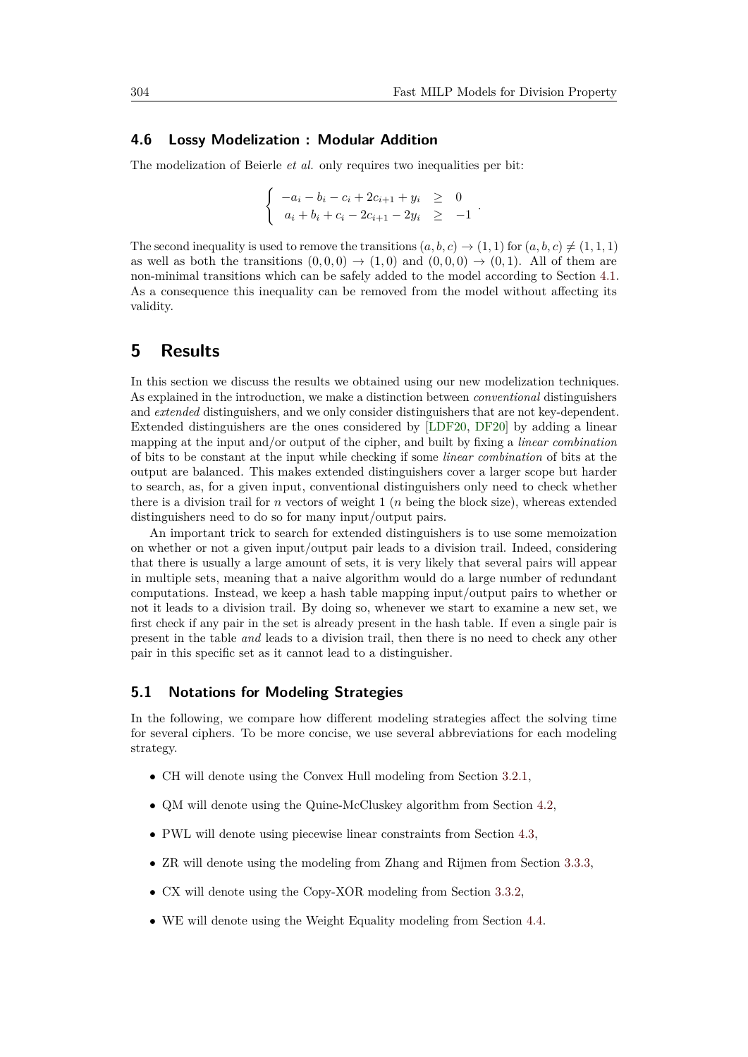#### <span id="page-15-1"></span>**4.6 Lossy Modelization : Modular Addition**

The modelization of Beierle *et al.* only requires two inequalities per bit:

$$
\begin{cases}\n-a_i - b_i - c_i + 2c_{i+1} + y_i \geq 0 \\
a_i + b_i + c_i - 2c_{i+1} - 2y_i \geq -1\n\end{cases}
$$

The second inequality is used to remove the transitions  $(a, b, c) \rightarrow (1, 1)$  for  $(a, b, c) \neq (1, 1, 1)$ as well as both the transitions  $(0,0,0) \rightarrow (1,0)$  and  $(0,0,0) \rightarrow (0,1)$ . All of them are non-minimal transitions which can be safely added to the model according to Section [4.1.](#page-10-0) As a consequence this inequality can be removed from the model without affecting its validity.

## <span id="page-15-0"></span>**5 Results**

In this section we discuss the results we obtained using our new modelization techniques. As explained in the introduction, we make a distinction between *conventional* distinguishers and *extended* distinguishers, and we only consider distinguishers that are not key-dependent. Extended distinguishers are the ones considered by [\[LDF20,](#page-22-3) [DF20\]](#page-21-0) by adding a linear mapping at the input and/or output of the cipher, and built by fixing a *linear combination* of bits to be constant at the input while checking if some *linear combination* of bits at the output are balanced. This makes extended distinguishers cover a larger scope but harder to search, as, for a given input, conventional distinguishers only need to check whether there is a division trail for *n* vectors of weight 1 (*n* being the block size), whereas extended distinguishers need to do so for many input/output pairs.

An important trick to search for extended distinguishers is to use some memoization on whether or not a given input/output pair leads to a division trail. Indeed, considering that there is usually a large amount of sets, it is very likely that several pairs will appear in multiple sets, meaning that a naive algorithm would do a large number of redundant computations. Instead, we keep a hash table mapping input/output pairs to whether or not it leads to a division trail. By doing so, whenever we start to examine a new set, we first check if any pair in the set is already present in the hash table. If even a single pair is present in the table *and* leads to a division trail, then there is no need to check any other pair in this specific set as it cannot lead to a distinguisher.

#### **5.1 Notations for Modeling Strategies**

In the following, we compare how different modeling strategies affect the solving time for several ciphers. To be more concise, we use several abbreviations for each modeling strategy.

- CH will denote using the Convex Hull modeling from Section [3.2.1,](#page-6-0)
- QM will denote using the Quine-McCluskey algorithm from Section [4.2,](#page-10-1)
- PWL will denote using piecewise linear constraints from Section [4.3,](#page-12-1)
- ZR will denote using the modeling from Zhang and Rijmen from Section [3.3.3,](#page-9-0)
- CX will denote using the Copy-XOR modeling from Section [3.3.2,](#page-9-1)
- WE will denote using the Weight Equality modeling from Section [4.4.](#page-13-1)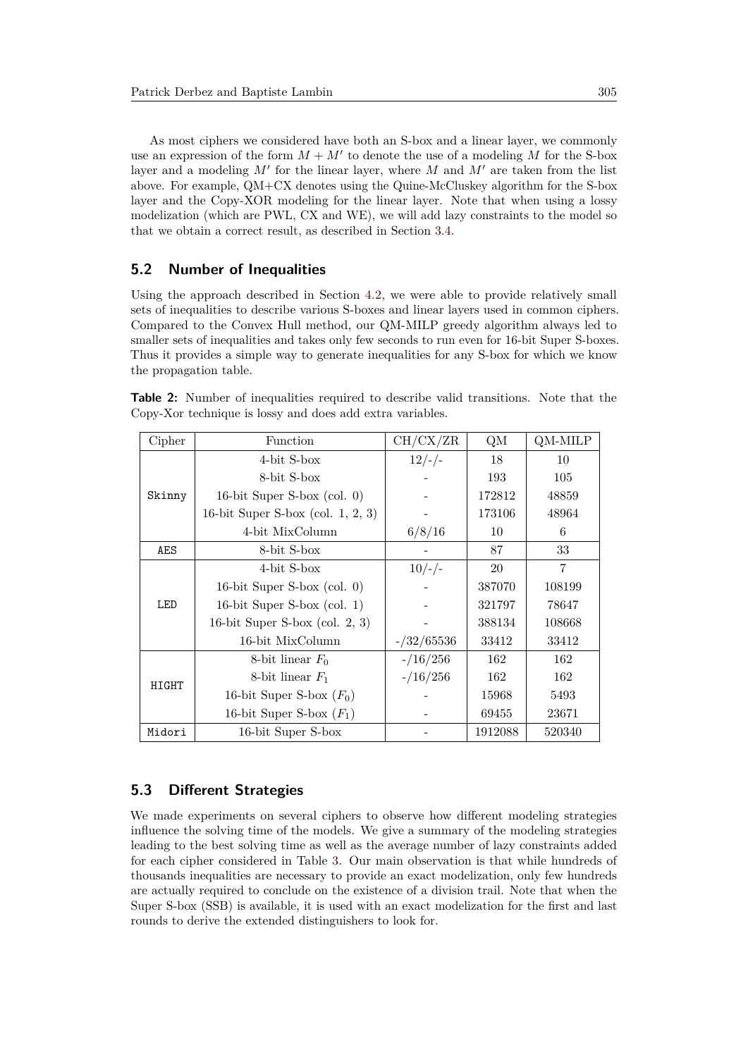As most ciphers we considered have both an S-box and a linear layer, we commonly use an expression of the form  $M + M'$  to denote the use of a modeling M for the S-box layer and a modeling  $M'$  for the linear layer, where  $M$  and  $M'$  are taken from the list above. For example, QM+CX denotes using the Quine-McCluskey algorithm for the S-box layer and the Copy-XOR modeling for the linear layer. Note that when using a lossy modelization (which are PWL, CX and WE), we will add lazy constraints to the model so that we obtain a correct result, as described in Section [3.4.](#page-9-2)

### **5.2 Number of Inequalities**

Using the approach described in Section [4.2,](#page-10-1) we were able to provide relatively small sets of inequalities to describe various S-boxes and linear layers used in common ciphers. Compared to the Convex Hull method, our QM-MILP greedy algorithm always led to smaller sets of inequalities and takes only few seconds to run even for 16-bit Super S-boxes. Thus it provides a simple way to generate inequalities for any S-box for which we know the propagation table.

<span id="page-16-0"></span>**Table 2:** Number of inequalities required to describe valid transitions. Note that the Copy-Xor technique is lossy and does add extra variables.

| Cipher | Function                                         | CH/CX/ZR      | QM      | QM-MILP |
|--------|--------------------------------------------------|---------------|---------|---------|
|        | 4-bit S-box                                      | $12/-/$       | 18      | 10      |
|        | 8-bit S-box                                      |               | 193     | 105     |
| Skinny | 16-bit Super S-box $\left(\text{col. } 0\right)$ |               | 172812  | 48859   |
|        | 16-bit Super S-box (col. $1, 2, 3$ )             |               | 173106  | 48964   |
|        | 4-bit MixColumn                                  | 6/8/16        | 10      | 6       |
| AES    | 8-bit S-box                                      |               | 87      | 33      |
|        | 4-bit S-box                                      | $10/-/$       | 20      | 7       |
|        | 16-bit Super S-box $\left(\text{col. } 0\right)$ |               | 387070  | 108199  |
| LED    | 16-bit Super S-box $\text{(col. 1)}$             |               | 321797  | 78647   |
|        | 16-bit Super S-box (col. $2, 3$ )                |               | 388134  | 108668  |
|        | 16-bit MixColumn                                 | $-$ /32/65536 | 33412   | 33412   |
|        | 8-bit linear $F_0$                               | $-16/256$     | 162     | 162     |
| HIGHT  | 8-bit linear $F_1$                               | $-16/256$     | 162     | 162     |
|        | 16-bit Super S-box $(F_0)$                       |               | 15968   | 5493    |
|        | 16-bit Super S-box $(F_1)$                       |               | 69455   | 23671   |
| Midori | 16-bit Super S-box                               |               | 1912088 | 520340  |

## **5.3 Different Strategies**

We made experiments on several ciphers to observe how different modeling strategies influence the solving time of the models. We give a summary of the modeling strategies leading to the best solving time as well as the average number of lazy constraints added for each cipher considered in Table [3.](#page-17-0) Our main observation is that while hundreds of thousands inequalities are necessary to provide an exact modelization, only few hundreds are actually required to conclude on the existence of a division trail. Note that when the Super S-box (SSB) is available, it is used with an exact modelization for the first and last rounds to derive the extended distinguishers to look for.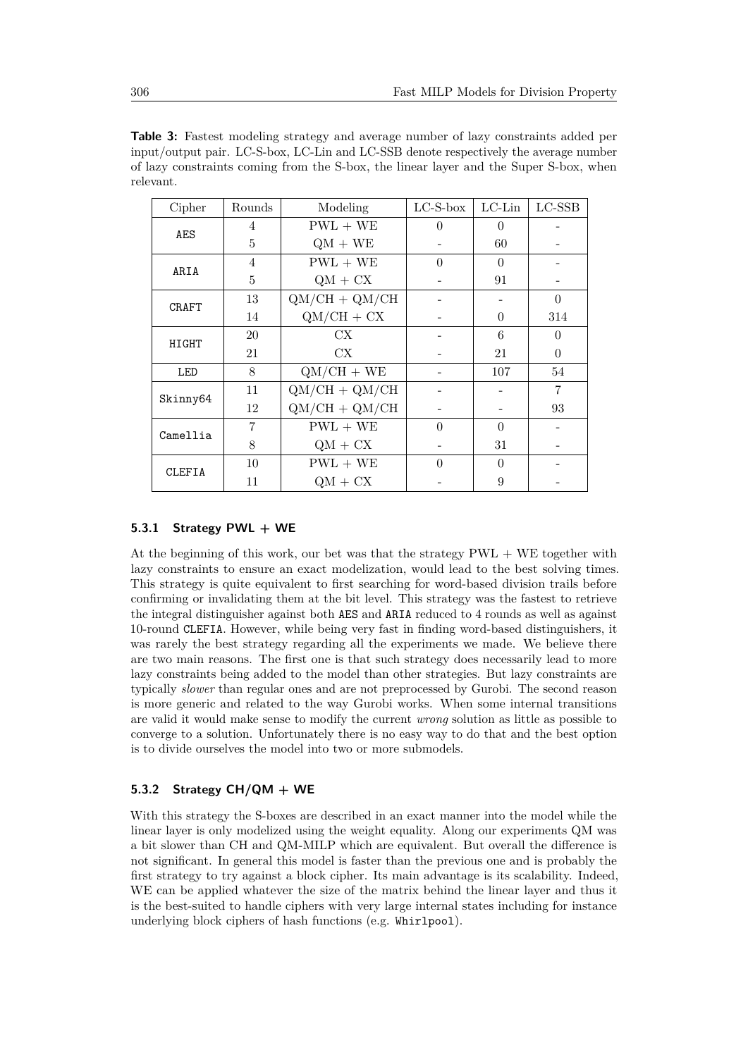<span id="page-17-0"></span>

| <b>Table 3:</b> Fastest modeling strategy and average number of lazy constraints added per |
|--------------------------------------------------------------------------------------------|
| input/output pair. LC-S-box, LC-Lin and LC-SSB denote respectively the average number      |
| of lazy constraints coming from the S-box, the linear layer and the Super S-box, when      |
| relevant.                                                                                  |

| Cipher        | Rounds | Modeling        | $LC-S-box$ | $LC$ -Lin | $_{\rm LC\text{-}SSB}$ |
|---------------|--------|-----------------|------------|-----------|------------------------|
|               | 4      | $PWL + WE$      | 0          | 0         |                        |
| AES           | 5      | $QM + WE$       |            | 60        |                        |
| ARIA          | 4      | $PWL + WE$      | $\Omega$   | $\Omega$  |                        |
|               | 5      | $QM + CX$       |            | 91        |                        |
| <b>CRAFT</b>  | 13     | $QM/CH + QM/CH$ |            |           | $\theta$               |
|               | 14     | $QM/CH + CX$    |            | $\theta$  | 314                    |
| HIGHT         | 20     | $\mathrm{CX}$   |            | 6         | 0                      |
|               | 21     | $\mathrm{CX}$   |            | 21        | $\theta$               |
| LED           | 8      | $QM/CH + WE$    |            | 107       | 54                     |
| Skinny64      | 11     | $QM/CH + QM/CH$ |            |           | 7                      |
|               | 12     | $QM/CH + QM/CH$ |            |           | 93                     |
| Camellia      | 7      | $PWL + WE$      | $\Omega$   | $\Omega$  |                        |
|               | 8      | $QM + CX$       |            | 31        |                        |
| <b>CLEFIA</b> | 10     | $PWL + WE$      | $\Omega$   | $\Omega$  |                        |
|               | 11     | $QM + CX$       |            | 9         |                        |

### **5.3.1 Strategy PWL + WE**

At the beginning of this work, our bet was that the strategy PWL + WE together with lazy constraints to ensure an exact modelization, would lead to the best solving times. This strategy is quite equivalent to first searching for word-based division trails before confirming or invalidating them at the bit level. This strategy was the fastest to retrieve the integral distinguisher against both AES and ARIA reduced to 4 rounds as well as against 10-round CLEFIA. However, while being very fast in finding word-based distinguishers, it was rarely the best strategy regarding all the experiments we made. We believe there are two main reasons. The first one is that such strategy does necessarily lead to more lazy constraints being added to the model than other strategies. But lazy constraints are typically *slower* than regular ones and are not preprocessed by Gurobi. The second reason is more generic and related to the way Gurobi works. When some internal transitions are valid it would make sense to modify the current *wrong* solution as little as possible to converge to a solution. Unfortunately there is no easy way to do that and the best option is to divide ourselves the model into two or more submodels.

#### **5.3.2 Strategy CH/QM + WE**

With this strategy the S-boxes are described in an exact manner into the model while the linear layer is only modelized using the weight equality. Along our experiments QM was a bit slower than CH and QM-MILP which are equivalent. But overall the difference is not significant. In general this model is faster than the previous one and is probably the first strategy to try against a block cipher. Its main advantage is its scalability. Indeed, WE can be applied whatever the size of the matrix behind the linear layer and thus it is the best-suited to handle ciphers with very large internal states including for instance underlying block ciphers of hash functions (e.g. Whirlpool).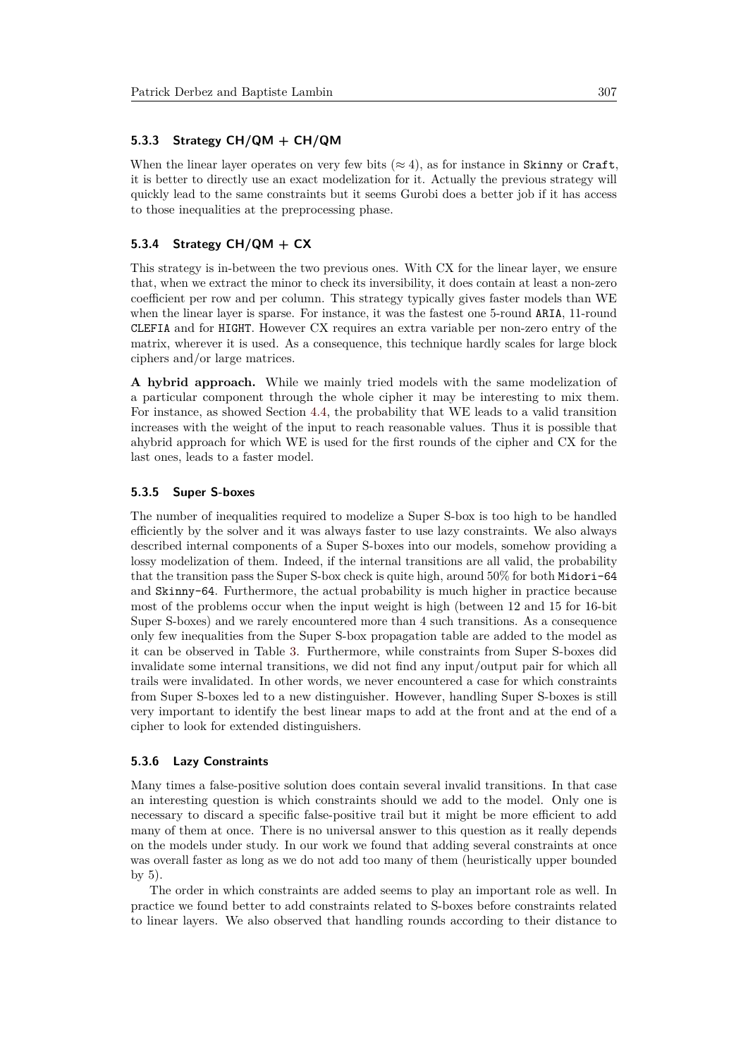#### **5.3.3 Strategy CH/QM + CH/QM**

When the linear layer operates on very few bits  $(\approx 4)$ , as for instance in Skinny or Craft, it is better to directly use an exact modelization for it. Actually the previous strategy will quickly lead to the same constraints but it seems Gurobi does a better job if it has access to those inequalities at the preprocessing phase.

### **5.3.4 Strategy CH/QM + CX**

This strategy is in-between the two previous ones. With CX for the linear layer, we ensure that, when we extract the minor to check its inversibility, it does contain at least a non-zero coefficient per row and per column. This strategy typically gives faster models than WE when the linear layer is sparse. For instance, it was the fastest one 5-round ARIA, 11-round CLEFIA and for HIGHT. However CX requires an extra variable per non-zero entry of the matrix, wherever it is used. As a consequence, this technique hardly scales for large block ciphers and/or large matrices.

**A hybrid approach.** While we mainly tried models with the same modelization of a particular component through the whole cipher it may be interesting to mix them. For instance, as showed Section [4.4,](#page-13-1) the probability that WE leads to a valid transition increases with the weight of the input to reach reasonable values. Thus it is possible that ahybrid approach for which WE is used for the first rounds of the cipher and CX for the last ones, leads to a faster model.

#### **5.3.5 Super S-boxes**

The number of inequalities required to modelize a Super S-box is too high to be handled efficiently by the solver and it was always faster to use lazy constraints. We also always described internal components of a Super S-boxes into our models, somehow providing a lossy modelization of them. Indeed, if the internal transitions are all valid, the probability that the transition pass the Super S-box check is quite high, around 50% for both Midori-64 and Skinny-64. Furthermore, the actual probability is much higher in practice because most of the problems occur when the input weight is high (between 12 and 15 for 16-bit Super S-boxes) and we rarely encountered more than 4 such transitions. As a consequence only few inequalities from the Super S-box propagation table are added to the model as it can be observed in Table [3.](#page-17-0) Furthermore, while constraints from Super S-boxes did invalidate some internal transitions, we did not find any input/output pair for which all trails were invalidated. In other words, we never encountered a case for which constraints from Super S-boxes led to a new distinguisher. However, handling Super S-boxes is still very important to identify the best linear maps to add at the front and at the end of a cipher to look for extended distinguishers.

#### **5.3.6 Lazy Constraints**

Many times a false-positive solution does contain several invalid transitions. In that case an interesting question is which constraints should we add to the model. Only one is necessary to discard a specific false-positive trail but it might be more efficient to add many of them at once. There is no universal answer to this question as it really depends on the models under study. In our work we found that adding several constraints at once was overall faster as long as we do not add too many of them (heuristically upper bounded by 5).

The order in which constraints are added seems to play an important role as well. In practice we found better to add constraints related to S-boxes before constraints related to linear layers. We also observed that handling rounds according to their distance to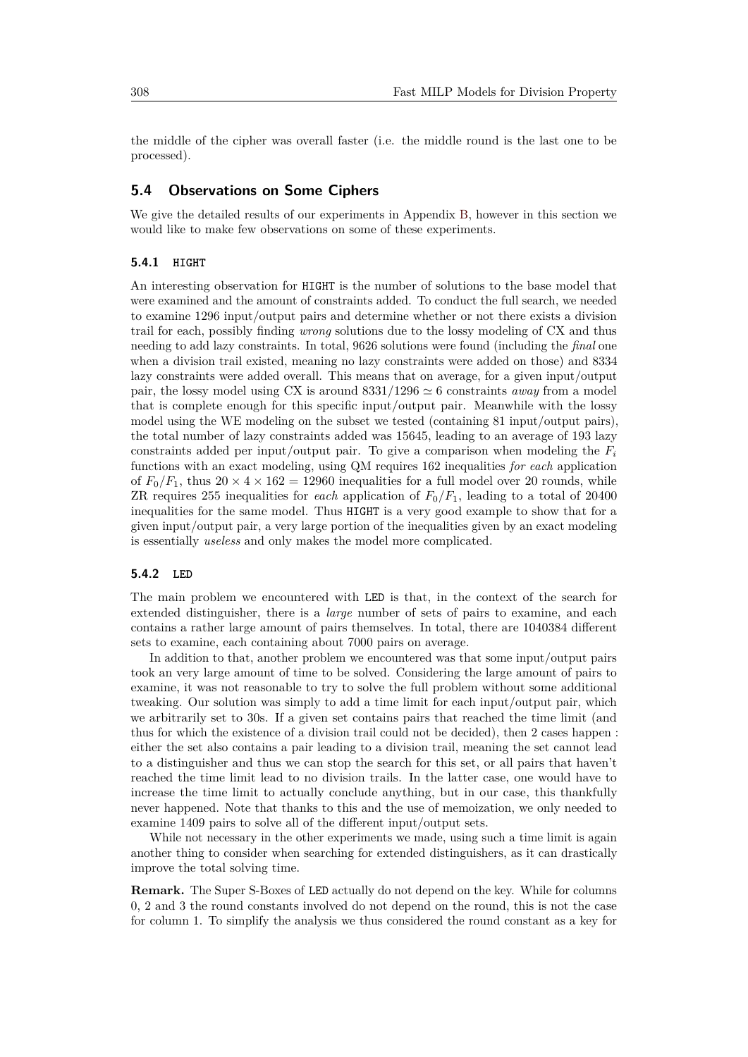the middle of the cipher was overall faster (i.e. the middle round is the last one to be processed).

#### **5.4 Observations on Some Ciphers**

We give the detailed results of our experiments in Appendix [B,](#page-26-0) however in this section we would like to make few observations on some of these experiments.

#### **5.4.1 HIGHT**

An interesting observation for HIGHT is the number of solutions to the base model that were examined and the amount of constraints added. To conduct the full search, we needed to examine 1296 input/output pairs and determine whether or not there exists a division trail for each, possibly finding *wrong* solutions due to the lossy modeling of CX and thus needing to add lazy constraints. In total, 9626 solutions were found (including the *final* one when a division trail existed, meaning no lazy constraints were added on those) and 8334 lazy constraints were added overall. This means that on average, for a given input/output pair, the lossy model using CX is around  $8331/1296 \simeq 6$  constraints *away* from a model that is complete enough for this specific input/output pair. Meanwhile with the lossy model using the WE modeling on the subset we tested (containing 81 input/output pairs), the total number of lazy constraints added was 15645, leading to an average of 193 lazy constraints added per input/output pair. To give a comparison when modeling the  $F_i$ functions with an exact modeling, using QM requires 162 inequalities *for each* application of  $F_0/F_1$ , thus  $20 \times 4 \times 162 = 12960$  inequalities for a full model over 20 rounds, while ZR requires 255 inequalities for *each* application of *F*0*/F*1, leading to a total of 20400 inequalities for the same model. Thus HIGHT is a very good example to show that for a given input/output pair, a very large portion of the inequalities given by an exact modeling is essentially *useless* and only makes the model more complicated.

#### **5.4.2 LED**

The main problem we encountered with LED is that, in the context of the search for extended distinguisher, there is a *large* number of sets of pairs to examine, and each contains a rather large amount of pairs themselves. In total, there are 1040384 different sets to examine, each containing about 7000 pairs on average.

In addition to that, another problem we encountered was that some input/output pairs took an very large amount of time to be solved. Considering the large amount of pairs to examine, it was not reasonable to try to solve the full problem without some additional tweaking. Our solution was simply to add a time limit for each input/output pair, which we arbitrarily set to 30s. If a given set contains pairs that reached the time limit (and thus for which the existence of a division trail could not be decided), then 2 cases happen : either the set also contains a pair leading to a division trail, meaning the set cannot lead to a distinguisher and thus we can stop the search for this set, or all pairs that haven't reached the time limit lead to no division trails. In the latter case, one would have to increase the time limit to actually conclude anything, but in our case, this thankfully never happened. Note that thanks to this and the use of memoization, we only needed to examine 1409 pairs to solve all of the different input/output sets.

While not necessary in the other experiments we made, using such a time limit is again another thing to consider when searching for extended distinguishers, as it can drastically improve the total solving time.

**Remark.** The Super S-Boxes of LED actually do not depend on the key. While for columns 0, 2 and 3 the round constants involved do not depend on the round, this is not the case for column 1. To simplify the analysis we thus considered the round constant as a key for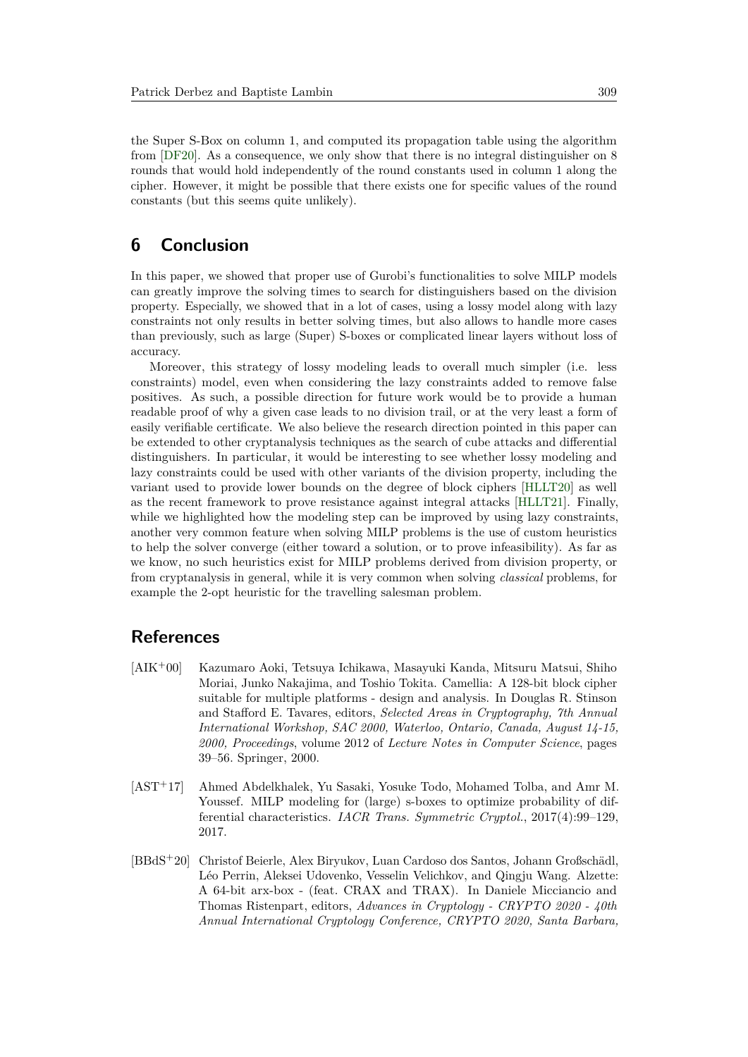the Super S-Box on column 1, and computed its propagation table using the algorithm from [\[DF20\]](#page-21-0). As a consequence, we only show that there is no integral distinguisher on 8 rounds that would hold independently of the round constants used in column 1 along the cipher. However, it might be possible that there exists one for specific values of the round constants (but this seems quite unlikely).

## **6 Conclusion**

In this paper, we showed that proper use of Gurobi's functionalities to solve MILP models can greatly improve the solving times to search for distinguishers based on the division property. Especially, we showed that in a lot of cases, using a lossy model along with lazy constraints not only results in better solving times, but also allows to handle more cases than previously, such as large (Super) S-boxes or complicated linear layers without loss of accuracy.

Moreover, this strategy of lossy modeling leads to overall much simpler (i.e. less constraints) model, even when considering the lazy constraints added to remove false positives. As such, a possible direction for future work would be to provide a human readable proof of why a given case leads to no division trail, or at the very least a form of easily verifiable certificate. We also believe the research direction pointed in this paper can be extended to other cryptanalysis techniques as the search of cube attacks and differential distinguishers. In particular, it would be interesting to see whether lossy modeling and lazy constraints could be used with other variants of the division property, including the variant used to provide lower bounds on the degree of block ciphers [\[HLLT20\]](#page-22-4) as well as the recent framework to prove resistance against integral attacks [\[HLLT21\]](#page-22-5). Finally, while we highlighted how the modeling step can be improved by using lazy constraints, another very common feature when solving MILP problems is the use of custom heuristics to help the solver converge (either toward a solution, or to prove infeasibility). As far as we know, no such heuristics exist for MILP problems derived from division property, or from cryptanalysis in general, while it is very common when solving *classical* problems, for example the 2-opt heuristic for the travelling salesman problem.

## **References**

- <span id="page-20-2"></span>[AIK<sup>+</sup>00] Kazumaro Aoki, Tetsuya Ichikawa, Masayuki Kanda, Mitsuru Matsui, Shiho Moriai, Junko Nakajima, and Toshio Tokita. Camellia: A 128-bit block cipher suitable for multiple platforms - design and analysis. In Douglas R. Stinson and Stafford E. Tavares, editors, *Selected Areas in Cryptography, 7th Annual International Workshop, SAC 2000, Waterloo, Ontario, Canada, August 14-15, 2000, Proceedings*, volume 2012 of *Lecture Notes in Computer Science*, pages 39–56. Springer, 2000.
- <span id="page-20-0"></span>[AST<sup>+</sup>17] Ahmed Abdelkhalek, Yu Sasaki, Yosuke Todo, Mohamed Tolba, and Amr M. Youssef. MILP modeling for (large) s-boxes to optimize probability of differential characteristics. *IACR Trans. Symmetric Cryptol.*, 2017(4):99–129, 2017.
- <span id="page-20-1"></span>[BBdS<sup>+</sup>20] Christof Beierle, Alex Biryukov, Luan Cardoso dos Santos, Johann Großschädl, Léo Perrin, Aleksei Udovenko, Vesselin Velichkov, and Qingju Wang. Alzette: A 64-bit arx-box - (feat. CRAX and TRAX). In Daniele Micciancio and Thomas Ristenpart, editors, *Advances in Cryptology - CRYPTO 2020 - 40th Annual International Cryptology Conference, CRYPTO 2020, Santa Barbara,*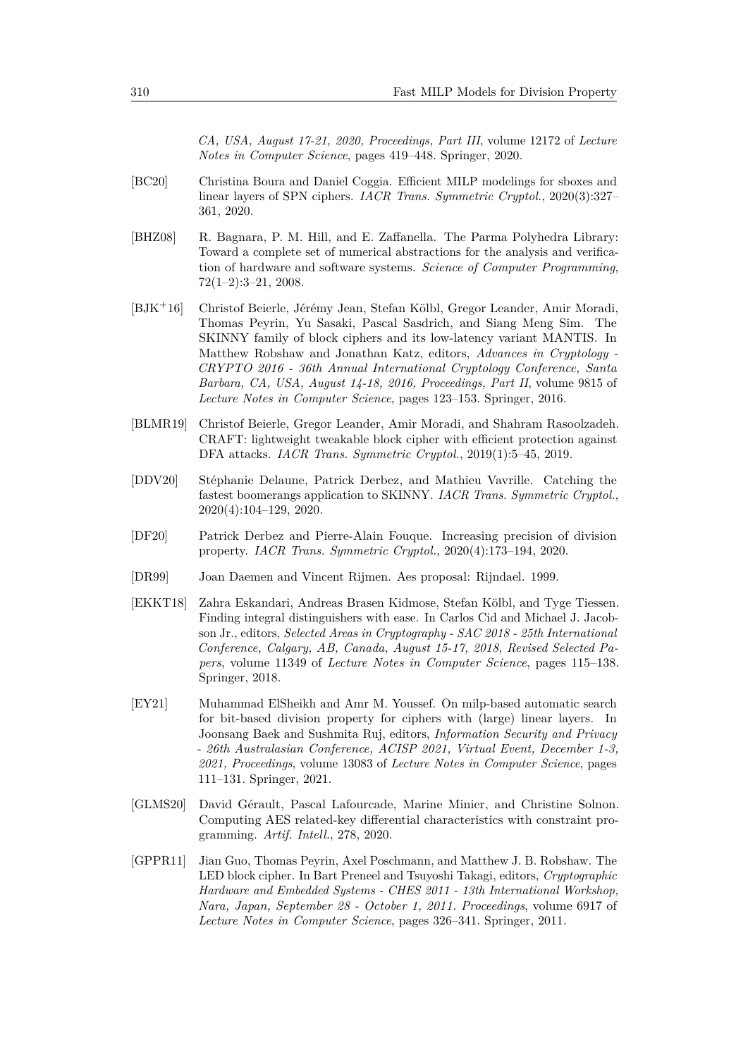*CA, USA, August 17-21, 2020, Proceedings, Part III*, volume 12172 of *Lecture Notes in Computer Science*, pages 419–448. Springer, 2020.

- <span id="page-21-3"></span>[BC20] Christina Boura and Daniel Coggia. Efficient MILP modelings for sboxes and linear layers of SPN ciphers. *IACR Trans. Symmetric Cryptol.*, 2020(3):327– 361, 2020.
- <span id="page-21-6"></span>[BHZ08] R. Bagnara, P. M. Hill, and E. Zaffanella. The Parma Polyhedra Library: Toward a complete set of numerical abstractions for the analysis and verification of hardware and software systems. *Science of Computer Programming*, 72(1–2):3–21, 2008.
- <span id="page-21-10"></span>[BJK<sup>+</sup>16] Christof Beierle, Jérémy Jean, Stefan Kölbl, Gregor Leander, Amir Moradi, Thomas Peyrin, Yu Sasaki, Pascal Sasdrich, and Siang Meng Sim. The SKINNY family of block ciphers and its low-latency variant MANTIS. In Matthew Robshaw and Jonathan Katz, editors, *Advances in Cryptology - CRYPTO 2016 - 36th Annual International Cryptology Conference, Santa Barbara, CA, USA, August 14-18, 2016, Proceedings, Part II*, volume 9815 of *Lecture Notes in Computer Science*, pages 123–153. Springer, 2016.
- <span id="page-21-8"></span>[BLMR19] Christof Beierle, Gregor Leander, Amir Moradi, and Shahram Rasoolzadeh. CRAFT: lightweight tweakable block cipher with efficient protection against DFA attacks. *IACR Trans. Symmetric Cryptol.*, 2019(1):5–45, 2019.
- <span id="page-21-2"></span>[DDV20] Stéphanie Delaune, Patrick Derbez, and Mathieu Vavrille. Catching the fastest boomerangs application to SKINNY. *IACR Trans. Symmetric Cryptol.*, 2020(4):104–129, 2020.
- <span id="page-21-0"></span>[DF20] Patrick Derbez and Pierre-Alain Fouque. Increasing precision of division property. *IACR Trans. Symmetric Cryptol.*, 2020(4):173–194, 2020.
- <span id="page-21-7"></span>[DR99] Joan Daemen and Vincent Rijmen. Aes proposal: Rijndael. 1999.
- <span id="page-21-5"></span>[EKKT18] Zahra Eskandari, Andreas Brasen Kidmose, Stefan Kölbl, and Tyge Tiessen. Finding integral distinguishers with ease. In Carlos Cid and Michael J. Jacobson Jr., editors, *Selected Areas in Cryptography - SAC 2018 - 25th International Conference, Calgary, AB, Canada, August 15-17, 2018, Revised Selected Papers*, volume 11349 of *Lecture Notes in Computer Science*, pages 115–138. Springer, 2018.
- <span id="page-21-1"></span>[EY21] Muhammad ElSheikh and Amr M. Youssef. On milp-based automatic search for bit-based division property for ciphers with (large) linear layers. In Joonsang Baek and Sushmita Ruj, editors, *Information Security and Privacy - 26th Australasian Conference, ACISP 2021, Virtual Event, December 1-3, 2021, Proceedings*, volume 13083 of *Lecture Notes in Computer Science*, pages 111–131. Springer, 2021.
- <span id="page-21-4"></span>[GLMS20] David Gérault, Pascal Lafourcade, Marine Minier, and Christine Solnon. Computing AES related-key differential characteristics with constraint programming. *Artif. Intell.*, 278, 2020.
- <span id="page-21-9"></span>[GPPR11] Jian Guo, Thomas Peyrin, Axel Poschmann, and Matthew J. B. Robshaw. The LED block cipher. In Bart Preneel and Tsuyoshi Takagi, editors, *Cryptographic Hardware and Embedded Systems - CHES 2011 - 13th International Workshop, Nara, Japan, September 28 - October 1, 2011. Proceedings*, volume 6917 of *Lecture Notes in Computer Science*, pages 326–341. Springer, 2011.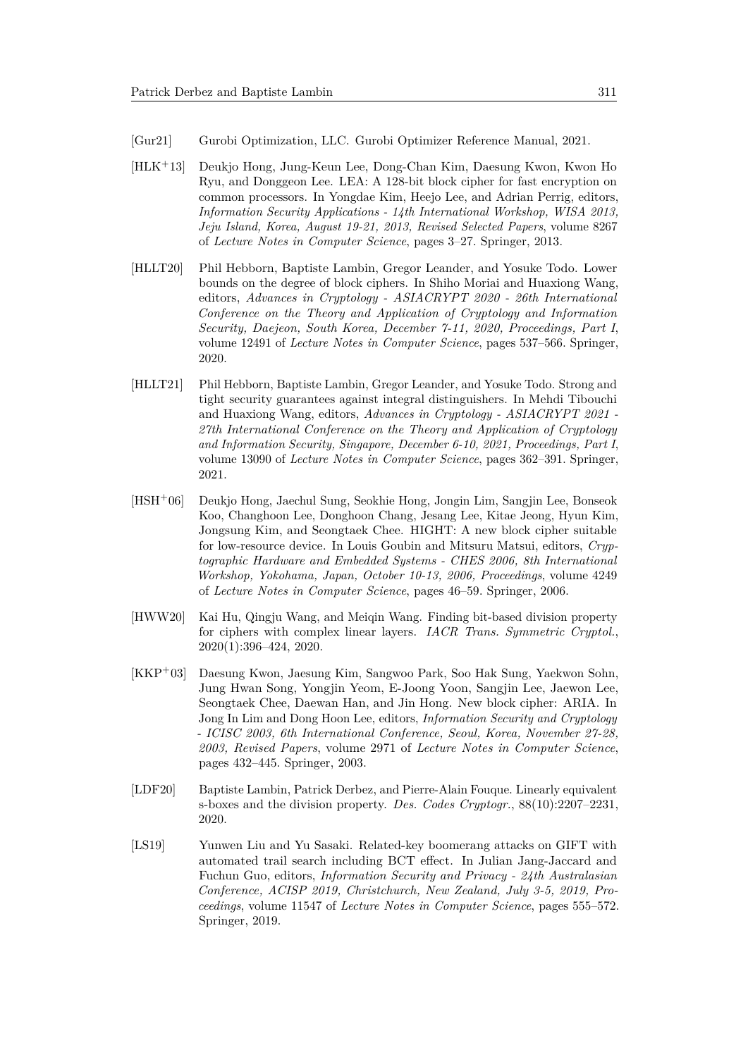- <span id="page-22-1"></span>[Gur21] Gurobi Optimization, LLC. Gurobi Optimizer Reference Manual, 2021.
- <span id="page-22-8"></span>[HLK<sup>+</sup>13] Deukjo Hong, Jung-Keun Lee, Dong-Chan Kim, Daesung Kwon, Kwon Ho Ryu, and Donggeon Lee. LEA: A 128-bit block cipher for fast encryption on common processors. In Yongdae Kim, Heejo Lee, and Adrian Perrig, editors, *Information Security Applications - 14th International Workshop, WISA 2013, Jeju Island, Korea, August 19-21, 2013, Revised Selected Papers*, volume 8267 of *Lecture Notes in Computer Science*, pages 3–27. Springer, 2013.
- <span id="page-22-4"></span>[HLLT20] Phil Hebborn, Baptiste Lambin, Gregor Leander, and Yosuke Todo. Lower bounds on the degree of block ciphers. In Shiho Moriai and Huaxiong Wang, editors, *Advances in Cryptology - ASIACRYPT 2020 - 26th International Conference on the Theory and Application of Cryptology and Information Security, Daejeon, South Korea, December 7-11, 2020, Proceedings, Part I*, volume 12491 of *Lecture Notes in Computer Science*, pages 537–566. Springer, 2020.
- <span id="page-22-5"></span>[HLLT21] Phil Hebborn, Baptiste Lambin, Gregor Leander, and Yosuke Todo. Strong and tight security guarantees against integral distinguishers. In Mehdi Tibouchi and Huaxiong Wang, editors, *Advances in Cryptology - ASIACRYPT 2021 - 27th International Conference on the Theory and Application of Cryptology and Information Security, Singapore, December 6-10, 2021, Proceedings, Part I*, volume 13090 of *Lecture Notes in Computer Science*, pages 362–391. Springer, 2021.
- <span id="page-22-7"></span>[HSH<sup>+</sup>06] Deukjo Hong, Jaechul Sung, Seokhie Hong, Jongin Lim, Sangjin Lee, Bonseok Koo, Changhoon Lee, Donghoon Chang, Jesang Lee, Kitae Jeong, Hyun Kim, Jongsung Kim, and Seongtaek Chee. HIGHT: A new block cipher suitable for low-resource device. In Louis Goubin and Mitsuru Matsui, editors, *Cryptographic Hardware and Embedded Systems - CHES 2006, 8th International Workshop, Yokohama, Japan, October 10-13, 2006, Proceedings*, volume 4249 of *Lecture Notes in Computer Science*, pages 46–59. Springer, 2006.
- <span id="page-22-0"></span>[HWW20] Kai Hu, Qingju Wang, and Meiqin Wang. Finding bit-based division property for ciphers with complex linear layers. *IACR Trans. Symmetric Cryptol.*, 2020(1):396–424, 2020.
- <span id="page-22-6"></span>[KKP<sup>+</sup>03] Daesung Kwon, Jaesung Kim, Sangwoo Park, Soo Hak Sung, Yaekwon Sohn, Jung Hwan Song, Yongjin Yeom, E-Joong Yoon, Sangjin Lee, Jaewon Lee, Seongtaek Chee, Daewan Han, and Jin Hong. New block cipher: ARIA. In Jong In Lim and Dong Hoon Lee, editors, *Information Security and Cryptology - ICISC 2003, 6th International Conference, Seoul, Korea, November 27-28, 2003, Revised Papers*, volume 2971 of *Lecture Notes in Computer Science*, pages 432–445. Springer, 2003.
- <span id="page-22-3"></span>[LDF20] Baptiste Lambin, Patrick Derbez, and Pierre-Alain Fouque. Linearly equivalent s-boxes and the division property. *Des. Codes Cryptogr.*, 88(10):2207–2231, 2020.
- <span id="page-22-2"></span>[LS19] Yunwen Liu and Yu Sasaki. Related-key boomerang attacks on GIFT with automated trail search including BCT effect. In Julian Jang-Jaccard and Fuchun Guo, editors, *Information Security and Privacy - 24th Australasian Conference, ACISP 2019, Christchurch, New Zealand, July 3-5, 2019, Proceedings*, volume 11547 of *Lecture Notes in Computer Science*, pages 555–572. Springer, 2019.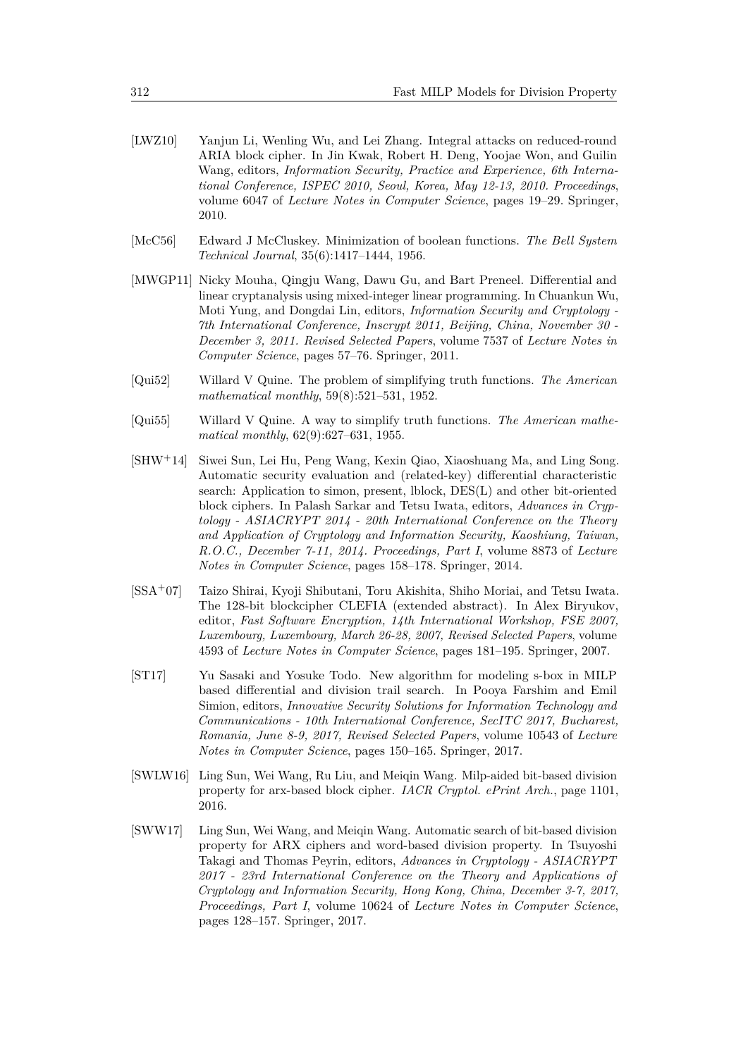- <span id="page-23-8"></span>[LWZ10] Yanjun Li, Wenling Wu, and Lei Zhang. Integral attacks on reduced-round ARIA block cipher. In Jin Kwak, Robert H. Deng, Yoojae Won, and Guilin Wang, editors, *Information Security, Practice and Experience, 6th International Conference, ISPEC 2010, Seoul, Korea, May 12-13, 2010. Proceedings*, volume 6047 of *Lecture Notes in Computer Science*, pages 19–29. Springer, 2010.
- <span id="page-23-5"></span>[McC56] Edward J McCluskey. Minimization of boolean functions. *The Bell System Technical Journal*, 35(6):1417–1444, 1956.
- <span id="page-23-1"></span>[MWGP11] Nicky Mouha, Qingju Wang, Dawu Gu, and Bart Preneel. Differential and linear cryptanalysis using mixed-integer linear programming. In Chuankun Wu, Moti Yung, and Dongdai Lin, editors, *Information Security and Cryptology - 7th International Conference, Inscrypt 2011, Beijing, China, November 30 - December 3, 2011. Revised Selected Papers*, volume 7537 of *Lecture Notes in Computer Science*, pages 57–76. Springer, 2011.
- <span id="page-23-3"></span>[Qui52] Willard V Quine. The problem of simplifying truth functions. *The American mathematical monthly*, 59(8):521–531, 1952.
- <span id="page-23-4"></span>[Qui55] Willard V Quine. A way to simplify truth functions. *The American mathematical monthly*, 62(9):627–631, 1955.
- <span id="page-23-6"></span>[SHW<sup>+</sup>14] Siwei Sun, Lei Hu, Peng Wang, Kexin Qiao, Xiaoshuang Ma, and Ling Song. Automatic security evaluation and (related-key) differential characteristic search: Application to simon, present, lblock, DES(L) and other bit-oriented block ciphers. In Palash Sarkar and Tetsu Iwata, editors, *Advances in Cryptology - ASIACRYPT 2014 - 20th International Conference on the Theory and Application of Cryptology and Information Security, Kaoshiung, Taiwan, R.O.C., December 7-11, 2014. Proceedings, Part I*, volume 8873 of *Lecture Notes in Computer Science*, pages 158–178. Springer, 2014.
- <span id="page-23-9"></span>[SSA<sup>+</sup>07] Taizo Shirai, Kyoji Shibutani, Toru Akishita, Shiho Moriai, and Tetsu Iwata. The 128-bit blockcipher CLEFIA (extended abstract). In Alex Biryukov, editor, *Fast Software Encryption, 14th International Workshop, FSE 2007, Luxembourg, Luxembourg, March 26-28, 2007, Revised Selected Papers*, volume 4593 of *Lecture Notes in Computer Science*, pages 181–195. Springer, 2007.
- <span id="page-23-2"></span>[ST17] Yu Sasaki and Yosuke Todo. New algorithm for modeling s-box in MILP based differential and division trail search. In Pooya Farshim and Emil Simion, editors, *Innovative Security Solutions for Information Technology and Communications - 10th International Conference, SecITC 2017, Bucharest, Romania, June 8-9, 2017, Revised Selected Papers*, volume 10543 of *Lecture Notes in Computer Science*, pages 150–165. Springer, 2017.
- <span id="page-23-7"></span>[SWLW16] Ling Sun, Wei Wang, Ru Liu, and Meiqin Wang. Milp-aided bit-based division property for arx-based block cipher. *IACR Cryptol. ePrint Arch.*, page 1101, 2016.
- <span id="page-23-0"></span>[SWW17] Ling Sun, Wei Wang, and Meiqin Wang. Automatic search of bit-based division property for ARX ciphers and word-based division property. In Tsuyoshi Takagi and Thomas Peyrin, editors, *Advances in Cryptology - ASIACRYPT 2017 - 23rd International Conference on the Theory and Applications of Cryptology and Information Security, Hong Kong, China, December 3-7, 2017, Proceedings, Part I*, volume 10624 of *Lecture Notes in Computer Science*, pages 128–157. Springer, 2017.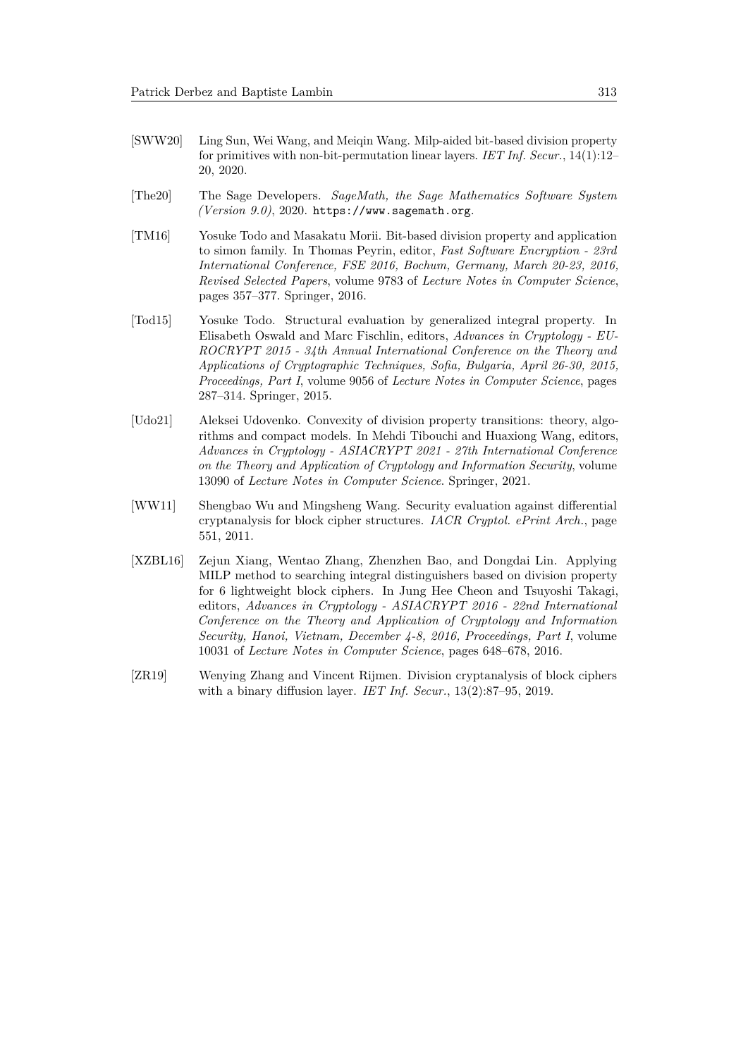- <span id="page-24-6"></span>[SWW20] Ling Sun, Wei Wang, and Meiqin Wang. Milp-aided bit-based division property for primitives with non-bit-permutation linear layers. *IET Inf. Secur.*, 14(1):12– 20, 2020.
- <span id="page-24-7"></span>[The20] The Sage Developers. *SageMath, the Sage Mathematics Software System (Version 9.0)*, 2020. https://www.sagemath.org.
- <span id="page-24-5"></span>[TM16] Yosuke Todo and Masakatu Morii. Bit-based division property and application to simon family. In Thomas Peyrin, editor, *Fast Software Encryption - 23rd International Conference, FSE 2016, Bochum, Germany, March 20-23, 2016, Revised Selected Papers*, volume 9783 of *Lecture Notes in Computer Science*, pages 357–377. Springer, 2016.
- <span id="page-24-4"></span>[Tod15] Yosuke Todo. Structural evaluation by generalized integral property. In Elisabeth Oswald and Marc Fischlin, editors, *Advances in Cryptology - EU-ROCRYPT 2015 - 34th Annual International Conference on the Theory and Applications of Cryptographic Techniques, Sofia, Bulgaria, April 26-30, 2015, Proceedings, Part I*, volume 9056 of *Lecture Notes in Computer Science*, pages 287–314. Springer, 2015.
- <span id="page-24-0"></span>[Udo21] Aleksei Udovenko. Convexity of division property transitions: theory, algorithms and compact models. In Mehdi Tibouchi and Huaxiong Wang, editors, *Advances in Cryptology - ASIACRYPT 2021 - 27th International Conference on the Theory and Application of Cryptology and Information Security*, volume 13090 of *Lecture Notes in Computer Science*. Springer, 2021.
- <span id="page-24-1"></span>[WW11] Shengbao Wu and Mingsheng Wang. Security evaluation against differential cryptanalysis for block cipher structures. *IACR Cryptol. ePrint Arch.*, page 551, 2011.
- <span id="page-24-2"></span>[XZBL16] Zejun Xiang, Wentao Zhang, Zhenzhen Bao, and Dongdai Lin. Applying MILP method to searching integral distinguishers based on division property for 6 lightweight block ciphers. In Jung Hee Cheon and Tsuyoshi Takagi, editors, *Advances in Cryptology - ASIACRYPT 2016 - 22nd International Conference on the Theory and Application of Cryptology and Information Security, Hanoi, Vietnam, December 4-8, 2016, Proceedings, Part I*, volume 10031 of *Lecture Notes in Computer Science*, pages 648–678, 2016.
- <span id="page-24-3"></span>[ZR19] Wenying Zhang and Vincent Rijmen. Division cryptanalysis of block ciphers with a binary diffusion layer. *IET Inf. Secur.*, 13(2):87–95, 2019.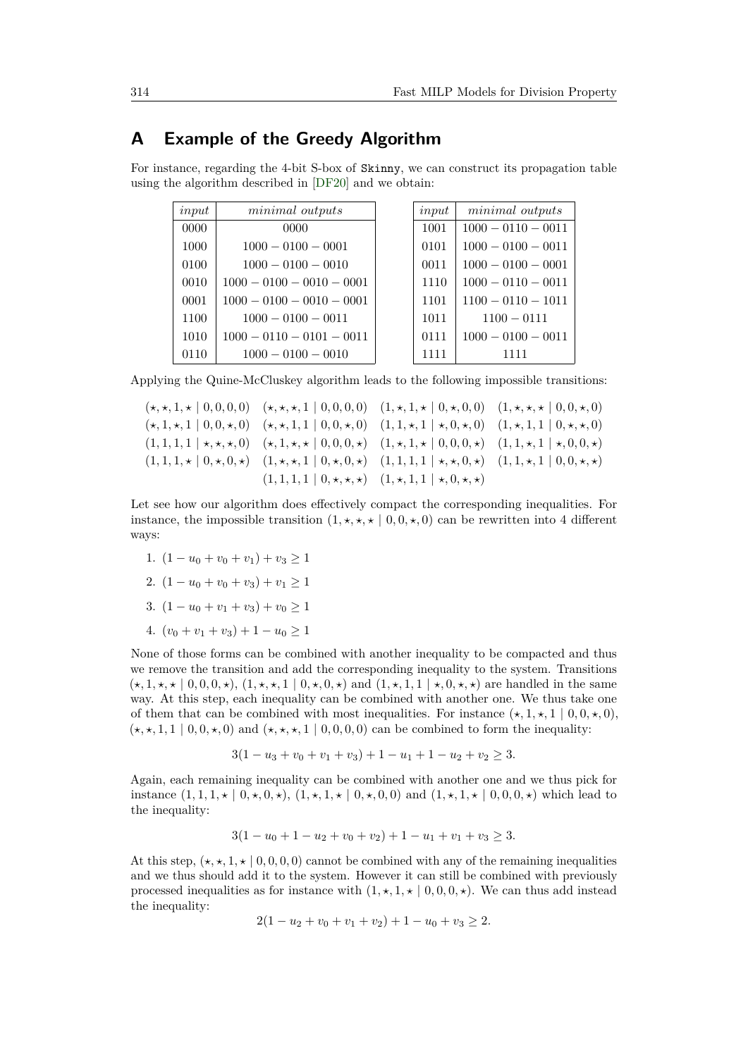## <span id="page-25-0"></span>**A Example of the Greedy Algorithm**

For instance, regarding the 4-bit S-box of Skinny, we can construct its propagation table using the algorithm described in [\[DF20\]](#page-21-0) and we obtain:

| input | minimal outputs             | input | minimal outputs      |
|-------|-----------------------------|-------|----------------------|
| 0000  | 0000                        | 1001  | $1000 - 0110 - 0011$ |
| 1000  | $1000 - 0100 - 0001$        | 0101  | $1000 - 0100 - 0011$ |
| 0100  | $1000 - 0100 - 0010$        | 0011  | $1000 - 0100 - 0001$ |
| 0010  | $1000 - 0100 - 0010 - 0001$ | 1110  | $1000 - 0110 - 0011$ |
| 0001  | $1000 - 0100 - 0010 - 0001$ | 1101  | $1100 - 0110 - 1011$ |
| 1100  | $1000 - 0100 - 0011$        | 1011  | $1100 - 0111$        |
| 1010  | $1000 - 0110 - 0101 - 0011$ | 0111  | $1000 - 0100 - 0011$ |
| 0110  | $1000 - 0100 - 0010$        | 1111  | 1111                 |

Applying the Quine-McCluskey algorithm leads to the following impossible transitions:

 $(*,*,1,* | 0,0,0,0)$   $(*,*,*,1 | 0,0,0,0)$   $(1,*,1,* | 0,*,0,0)$   $(1,*,*,*,* | 0,0,0,0)$  $(\star, 1, \star, 1 | 0, 0, \star, 0)$   $(\star, \star, 1, 1 | 0, 0, \star, 0)$   $(1, 1, \star, 1 | \star, 0, \star, 0)$   $(1, \star, 1, 1 | 0, \star, \star, 0)$  $(1,1,1,1 \mid \star,\star,\star,0)$   $(\star,1,\star,\star \mid 0,0,0,\star)$   $(1,\star,1,\star \mid 0,0,0,\star)$   $(1,1,\star,1 \mid \star,0,0,\star)$  $(1, 1, 1, \star \mid 0, \star, 0, \star)$   $(1, \star, \star, 1 \mid 0, \star, 0, \star)$   $(1, 1, 1, 1 \mid \star, \star, 0, \star)$   $(1, 1, \star, 1 \mid 0, 0, \star, \star)$  $(1, 1, 1, 1 \mid 0, \star, \star, \star)$   $(1, \star, 1, 1 \mid \star, 0, \star, \star)$ 

Let see how our algorithm does effectively compact the corresponding inequalities. For instance, the impossible transition  $(1, \star, \star, \star \mid 0, 0, \star, 0)$  can be rewritten into 4 different ways:

- 1.  $(1 u_0 + v_0 + v_1) + v_3 > 1$
- 2.  $(1 u_0 + v_0 + v_3) + v_1 > 1$
- 3.  $(1 u_0 + v_1 + v_3) + v_0 > 1$
- 4.  $(v_0 + v_1 + v_3) + 1 u_0 > 1$

None of those forms can be combined with another inequality to be compacted and thus we remove the transition and add the corresponding inequality to the system. Transitions  $(\star, 1, \star, \star | 0, 0, 0, \star), (1, \star, \star, 1 | 0, \star, 0, \star)$  and  $(1, \star, 1, 1 | \star, 0, \star, \star)$  are handled in the same way. At this step, each inequality can be combined with another one. We thus take one of them that can be combined with most inequalities. For instance  $(\star, 1, \star, 1 \mid 0, 0, \star, 0)$ ,  $(\star, \star, 1, 1 \mid 0, 0, \star, 0)$  and  $(\star, \star, \star, 1 \mid 0, 0, 0, 0)$  can be combined to form the inequality:

$$
3(1 - u3 + v0 + v1 + v3) + 1 - u1 + 1 - u2 + v2 \ge 3.
$$

Again, each remaining inequality can be combined with another one and we thus pick for instance  $(1, 1, 1, \star \mid 0, \star, 0, \star)$ ,  $(1, \star, 1, \star \mid 0, \star, 0, 0)$  and  $(1, \star, 1, \star \mid 0, 0, 0, \star)$  which lead to the inequality:

$$
3(1 - u0 + 1 - u2 + v0 + v2) + 1 - u1 + v1 + v3 \ge 3.
$$

At this step,  $(\star, \star, 1, \star \mid 0, 0, 0, 0)$  cannot be combined with any of the remaining inequalities and we thus should add it to the system. However it can still be combined with previously processed inequalities as for instance with  $(1, \star, 1, \star \mid 0, 0, 0, \star)$ . We can thus add instead the inequality:

$$
2(1 - u2 + v0 + v1 + v2) + 1 - u0 + v3 \ge 2.
$$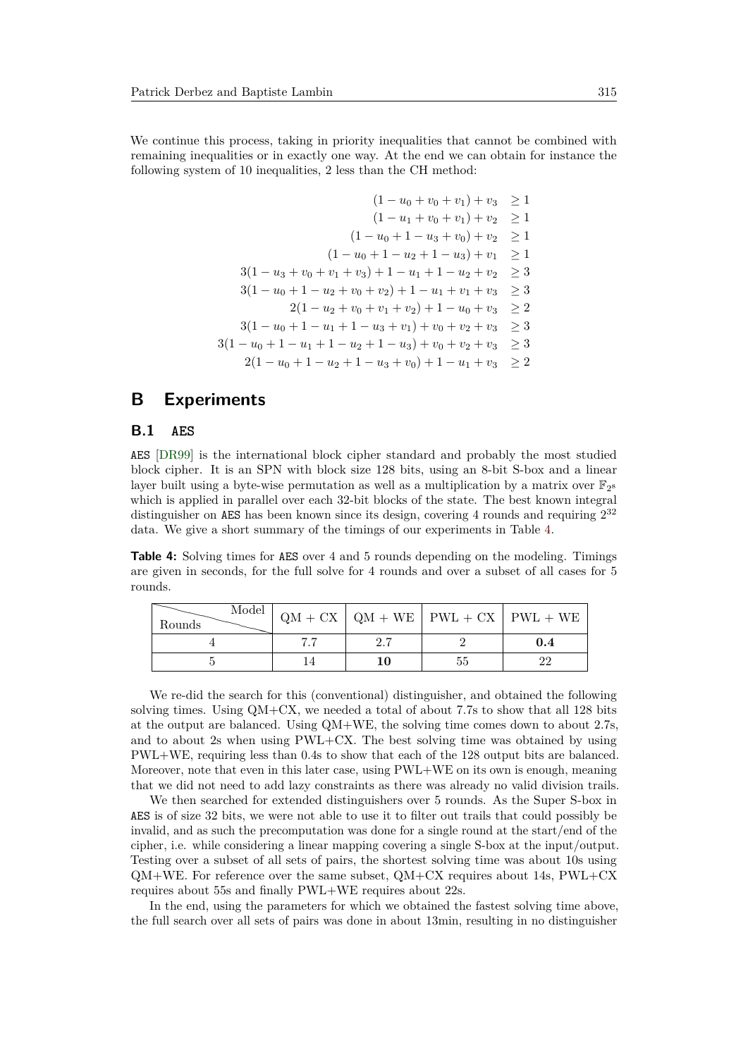We continue this process, taking in priority inequalities that cannot be combined with remaining inequalities or in exactly one way. At the end we can obtain for instance the following system of 10 inequalities, 2 less than the CH method:

$$
(1 - u_0 + v_0 + v_1) + v_3 \ge 1
$$
  
\n
$$
(1 - u_1 + v_0 + v_1) + v_2 \ge 1
$$
  
\n
$$
(1 - u_0 + 1 - u_3 + v_0) + v_2 \ge 1
$$
  
\n
$$
(1 - u_0 + 1 - u_2 + 1 - u_3) + v_1 \ge 1
$$
  
\n
$$
3(1 - u_3 + v_0 + v_1 + v_3) + 1 - u_1 + 1 - u_2 + v_2 \ge 3
$$
  
\n
$$
3(1 - u_0 + 1 - u_2 + v_0 + v_2) + 1 - u_1 + v_1 + v_3 \ge 3
$$
  
\n
$$
2(1 - u_2 + v_0 + v_1 + v_2) + 1 - u_0 + v_3 \ge 2
$$
  
\n
$$
3(1 - u_0 + 1 - u_1 + 1 - u_3 + v_1) + v_0 + v_2 + v_3 \ge 3
$$
  
\n
$$
3(1 - u_0 + 1 - u_1 + 1 - u_2 + 1 - u_3) + v_0 + v_2 + v_3 \ge 3
$$
  
\n
$$
2(1 - u_0 + 1 - u_2 + 1 - u_3 + v_0) + 1 - u_1 + v_3 \ge 2
$$

## <span id="page-26-0"></span>**B Experiments**

#### **B.1 AES**

AES [\[DR99\]](#page-21-7) is the international block cipher standard and probably the most studied block cipher. It is an SPN with block size 128 bits, using an 8-bit S-box and a linear layer built using a byte-wise permutation as well as a multiplication by a matrix over  $\mathbb{F}_2$ <sup>s</sup> which is applied in parallel over each 32-bit blocks of the state. The best known integral distinguisher on AES has been known since its design, covering 4 rounds and requiring  $2^{32}$ data. We give a short summary of the timings of our experiments in Table [4.](#page-26-1)

<span id="page-26-1"></span>**Table 4:** Solving times for AES over 4 and 5 rounds depending on the modeling. Timings are given in seconds, for the full solve for 4 rounds and over a subset of all cases for 5 rounds.

| Model  <br>Rounds |  | $QM + CX$ $QM + WE$ $PWL + CX$ $PWL + WE$ |     |
|-------------------|--|-------------------------------------------|-----|
|                   |  |                                           | 0.4 |
|                   |  |                                           |     |

We re-did the search for this (conventional) distinguisher, and obtained the following solving times. Using QM+CX, we needed a total of about 7.7s to show that all 128 bits at the output are balanced. Using QM+WE, the solving time comes down to about 2.7s, and to about 2s when using PWL+CX. The best solving time was obtained by using PWL+WE, requiring less than 0.4s to show that each of the 128 output bits are balanced. Moreover, note that even in this later case, using PWL+WE on its own is enough, meaning that we did not need to add lazy constraints as there was already no valid division trails.

We then searched for extended distinguishers over 5 rounds. As the Super S-box in AES is of size 32 bits, we were not able to use it to filter out trails that could possibly be invalid, and as such the precomputation was done for a single round at the start/end of the cipher, i.e. while considering a linear mapping covering a single S-box at the input/output. Testing over a subset of all sets of pairs, the shortest solving time was about 10s using  $QM+WE$ . For reference over the same subset,  $QM+CX$  requires about 14s,  $PWL+CX$ requires about 55s and finally PWL+WE requires about 22s.

In the end, using the parameters for which we obtained the fastest solving time above, the full search over all sets of pairs was done in about 13min, resulting in no distinguisher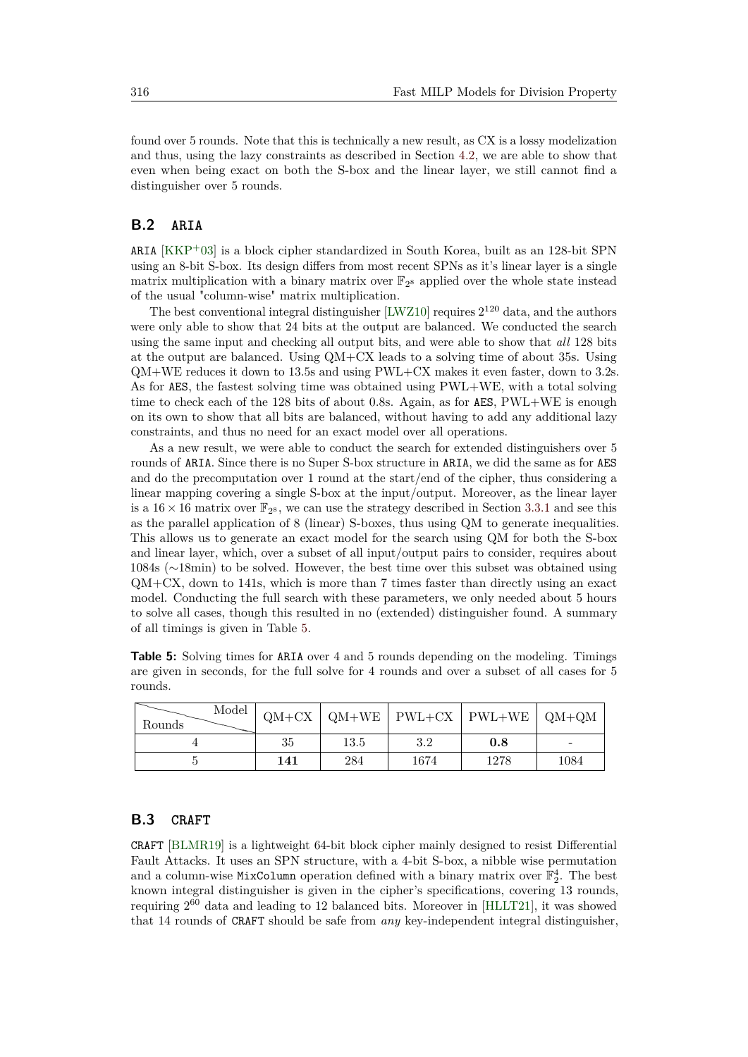found over 5 rounds. Note that this is technically a new result, as CX is a lossy modelization and thus, using the lazy constraints as described in Section [4.2,](#page-10-1) we are able to show that even when being exact on both the S-box and the linear layer, we still cannot find a distinguisher over 5 rounds.

### **B.2 ARIA**

ARIA  $[KKP<sup>+</sup>03]$  $[KKP<sup>+</sup>03]$  is a block cipher standardized in South Korea, built as an 128-bit SPN using an 8-bit S-box. Its design differs from most recent SPNs as it's linear layer is a single matrix multiplication with a binary matrix over  $\mathbb{F}_{2^8}$  applied over the whole state instead of the usual "column-wise" matrix multiplication.

The best conventional integral distinguisher  $[LWZ10]$  requires  $2^{120}$  data, and the authors were only able to show that 24 bits at the output are balanced. We conducted the search using the same input and checking all output bits, and were able to show that *all* 128 bits at the output are balanced. Using QM+CX leads to a solving time of about 35s. Using QM+WE reduces it down to 13.5s and using PWL+CX makes it even faster, down to 3.2s. As for AES, the fastest solving time was obtained using PWL+WE, with a total solving time to check each of the 128 bits of about 0.8s. Again, as for AES, PWL+WE is enough on its own to show that all bits are balanced, without having to add any additional lazy constraints, and thus no need for an exact model over all operations.

As a new result, we were able to conduct the search for extended distinguishers over 5 rounds of ARIA. Since there is no Super S-box structure in ARIA, we did the same as for AES and do the precomputation over 1 round at the start/end of the cipher, thus considering a linear mapping covering a single S-box at the input/output. Moreover, as the linear layer is a  $16 \times 16$  matrix over  $\mathbb{F}_{2^8}$ , we can use the strategy described in Section [3.3.1](#page-8-0) and see this as the parallel application of 8 (linear) S-boxes, thus using QM to generate inequalities. This allows us to generate an exact model for the search using QM for both the S-box and linear layer, which, over a subset of all input/output pairs to consider, requires about 1084s (∼18min) to be solved. However, the best time over this subset was obtained using QM+CX, down to 141s, which is more than 7 times faster than directly using an exact model. Conducting the full search with these parameters, we only needed about 5 hours to solve all cases, though this resulted in no (extended) distinguisher found. A summary of all timings is given in Table [5.](#page-27-0)

<span id="page-27-0"></span>**Table 5:** Solving times for ARIA over 4 and 5 rounds depending on the modeling. Timings are given in seconds, for the full solve for 4 rounds and over a subset of all cases for 5 rounds.

| Model<br>Rounds |     |      |      | $QM+CX$   $QM+WE$   $PWL+CX$   $PWL+WE$   $QM+QM$ |      |
|-----------------|-----|------|------|---------------------------------------------------|------|
|                 | 35  | 13.5 | 3.2  | $0.8\,$                                           |      |
|                 | 141 | 284  | 1674 | 1278                                              | 1084 |

#### **B.3 CRAFT**

CRAFT [\[BLMR19\]](#page-21-8) is a lightweight 64-bit block cipher mainly designed to resist Differential Fault Attacks. It uses an SPN structure, with a 4-bit S-box, a nibble wise permutation and a column-wise MixColumn operation defined with a binary matrix over  $\mathbb{F}_2^4$ . The best known integral distinguisher is given in the cipher's specifications, covering 13 rounds, requiring 2 <sup>60</sup> data and leading to 12 balanced bits. Moreover in [\[HLLT21\]](#page-22-5), it was showed that 14 rounds of CRAFT should be safe from *any* key-independent integral distinguisher,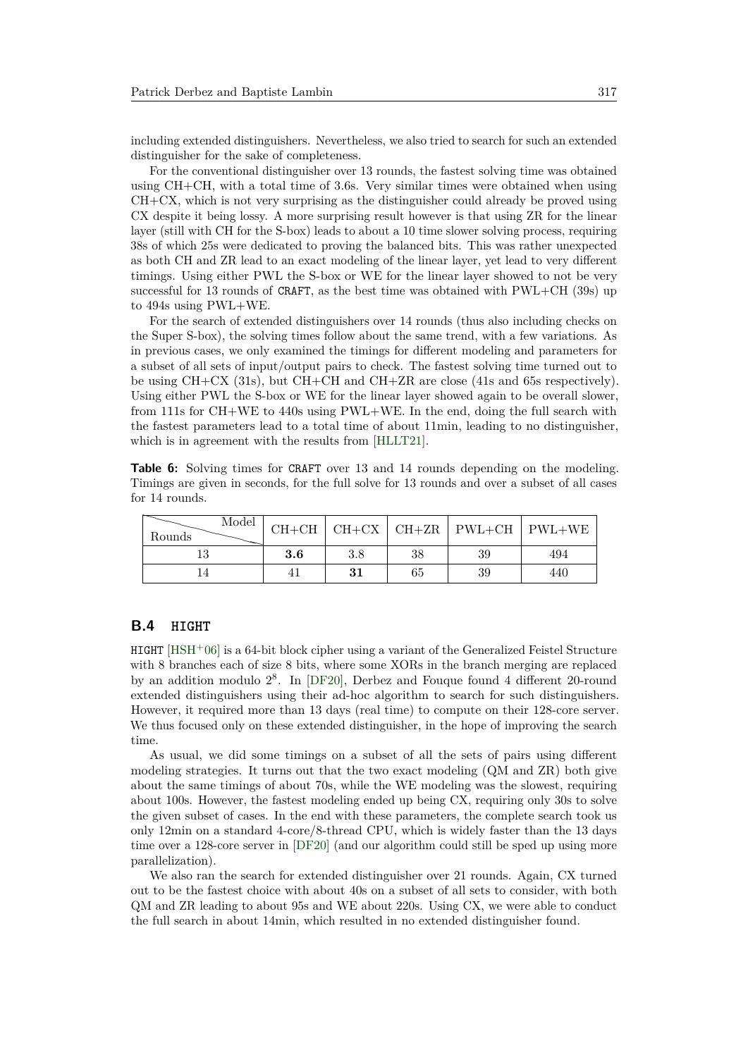including extended distinguishers. Nevertheless, we also tried to search for such an extended distinguisher for the sake of completeness.

For the conventional distinguisher over 13 rounds, the fastest solving time was obtained using CH+CH, with a total time of 3.6s. Very similar times were obtained when using CH+CX, which is not very surprising as the distinguisher could already be proved using CX despite it being lossy. A more surprising result however is that using ZR for the linear layer (still with CH for the S-box) leads to about a 10 time slower solving process, requiring 38s of which 25s were dedicated to proving the balanced bits. This was rather unexpected as both CH and ZR lead to an exact modeling of the linear layer, yet lead to very different timings. Using either PWL the S-box or WE for the linear layer showed to not be very successful for 13 rounds of CRAFT, as the best time was obtained with PWL+CH (39s) up to 494s using PWL+WE.

For the search of extended distinguishers over 14 rounds (thus also including checks on the Super S-box), the solving times follow about the same trend, with a few variations. As in previous cases, we only examined the timings for different modeling and parameters for a subset of all sets of input/output pairs to check. The fastest solving time turned out to be using  $CH+CX$  (31s), but  $CH+CH$  and  $CH+ZR$  are close (41s and 65s respectively). Using either PWL the S-box or WE for the linear layer showed again to be overall slower, from 111s for CH+WE to 440s using PWL+WE. In the end, doing the full search with the fastest parameters lead to a total time of about 11min, leading to no distinguisher, which is in agreement with the results from [\[HLLT21\]](#page-22-5).

**Table 6:** Solving times for CRAFT over 13 and 14 rounds depending on the modeling. Timings are given in seconds, for the full solve for 13 rounds and over a subset of all cases for 14 rounds.

| Model<br>Rounds |     |     |    |    | $CH+CH$   $CH+CX$   $CH+ZR$   $PWL+CH$   $PWL+WE$ |
|-----------------|-----|-----|----|----|---------------------------------------------------|
|                 | 3.6 | 3.8 | 38 | 39 | 494                                               |
|                 |     | 31  | 65 | 39 | 440                                               |

#### **B.4 HIGHT**

HIGHT [\[HSH](#page-22-7)<sup>+</sup>06] is a 64-bit block cipher using a variant of the Generalized Feistel Structure with 8 branches each of size 8 bits, where some XORs in the branch merging are replaced by an addition modulo 2 8 . In [\[DF20\]](#page-21-0), Derbez and Fouque found 4 different 20-round extended distinguishers using their ad-hoc algorithm to search for such distinguishers. However, it required more than 13 days (real time) to compute on their 128-core server. We thus focused only on these extended distinguisher, in the hope of improving the search time.

As usual, we did some timings on a subset of all the sets of pairs using different modeling strategies. It turns out that the two exact modeling (QM and ZR) both give about the same timings of about 70s, while the WE modeling was the slowest, requiring about 100s. However, the fastest modeling ended up being CX, requiring only 30s to solve the given subset of cases. In the end with these parameters, the complete search took us only 12min on a standard 4-core/8-thread CPU, which is widely faster than the 13 days time over a 128-core server in [\[DF20\]](#page-21-0) (and our algorithm could still be sped up using more parallelization).

We also ran the search for extended distinguisher over 21 rounds. Again, CX turned out to be the fastest choice with about 40s on a subset of all sets to consider, with both QM and ZR leading to about 95s and WE about 220s. Using CX, we were able to conduct the full search in about 14min, which resulted in no extended distinguisher found.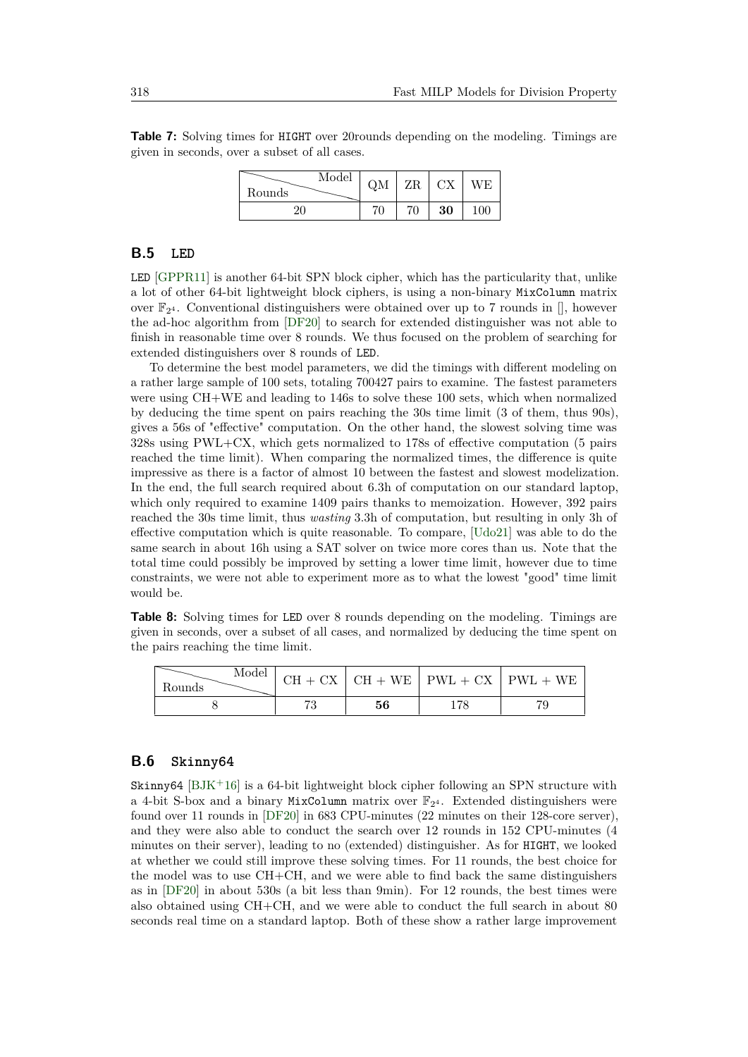**Table 7:** Solving times for HIGHT over 20rounds depending on the modeling. Timings are given in seconds, over a subset of all cases.

| Model<br>Rounds | QM | ZR | СX | VЕ |
|-----------------|----|----|----|----|
|                 | 70 |    | 30 |    |

#### <span id="page-29-0"></span>**B.5 LED**

LED [\[GPPR11\]](#page-21-9) is another 64-bit SPN block cipher, which has the particularity that, unlike a lot of other 64-bit lightweight block ciphers, is using a non-binary MixColumn matrix over  $\mathbb{F}_{2^4}$ . Conventional distinguishers were obtained over up to 7 rounds in [], however the ad-hoc algorithm from [\[DF20\]](#page-21-0) to search for extended distinguisher was not able to finish in reasonable time over 8 rounds. We thus focused on the problem of searching for extended distinguishers over 8 rounds of LED.

To determine the best model parameters, we did the timings with different modeling on a rather large sample of 100 sets, totaling 700427 pairs to examine. The fastest parameters were using CH+WE and leading to 146s to solve these 100 sets, which when normalized by deducing the time spent on pairs reaching the 30s time limit (3 of them, thus 90s), gives a 56s of "effective" computation. On the other hand, the slowest solving time was 328s using PWL+CX, which gets normalized to 178s of effective computation (5 pairs reached the time limit). When comparing the normalized times, the difference is quite impressive as there is a factor of almost 10 between the fastest and slowest modelization. In the end, the full search required about 6.3h of computation on our standard laptop, which only required to examine 1409 pairs thanks to memoization. However, 392 pairs reached the 30s time limit, thus *wasting* 3.3h of computation, but resulting in only 3h of effective computation which is quite reasonable. To compare, [\[Udo21\]](#page-24-0) was able to do the same search in about 16h using a SAT solver on twice more cores than us. Note that the total time could possibly be improved by setting a lower time limit, however due to time constraints, we were not able to experiment more as to what the lowest "good" time limit would be.

**Table 8:** Solving times for LED over 8 rounds depending on the modeling. Timings are given in seconds, over a subset of all cases, and normalized by deducing the time spent on the pairs reaching the time limit.

| Model<br>Rounds |    | $CH + CX$ $CH + WE$ $PWL + CX$ $PWL + WE$ |
|-----------------|----|-------------------------------------------|
|                 | 56 |                                           |

### **B.6 Skinny64**

Skinny64  $[BJK^+16]$  $[BJK^+16]$  is a 64-bit lightweight block cipher following an SPN structure with a 4-bit S-box and a binary MixColumn matrix over  $\mathbb{F}_{2^4}$ . Extended distinguishers were found over 11 rounds in [\[DF20\]](#page-21-0) in 683 CPU-minutes (22 minutes on their 128-core server), and they were also able to conduct the search over 12 rounds in 152 CPU-minutes (4 minutes on their server), leading to no (extended) distinguisher. As for HIGHT, we looked at whether we could still improve these solving times. For 11 rounds, the best choice for the model was to use  $CH + CH$ , and we were able to find back the same distinguishers as in [\[DF20\]](#page-21-0) in about 530s (a bit less than 9min). For 12 rounds, the best times were also obtained using CH+CH, and we were able to conduct the full search in about 80 seconds real time on a standard laptop. Both of these show a rather large improvement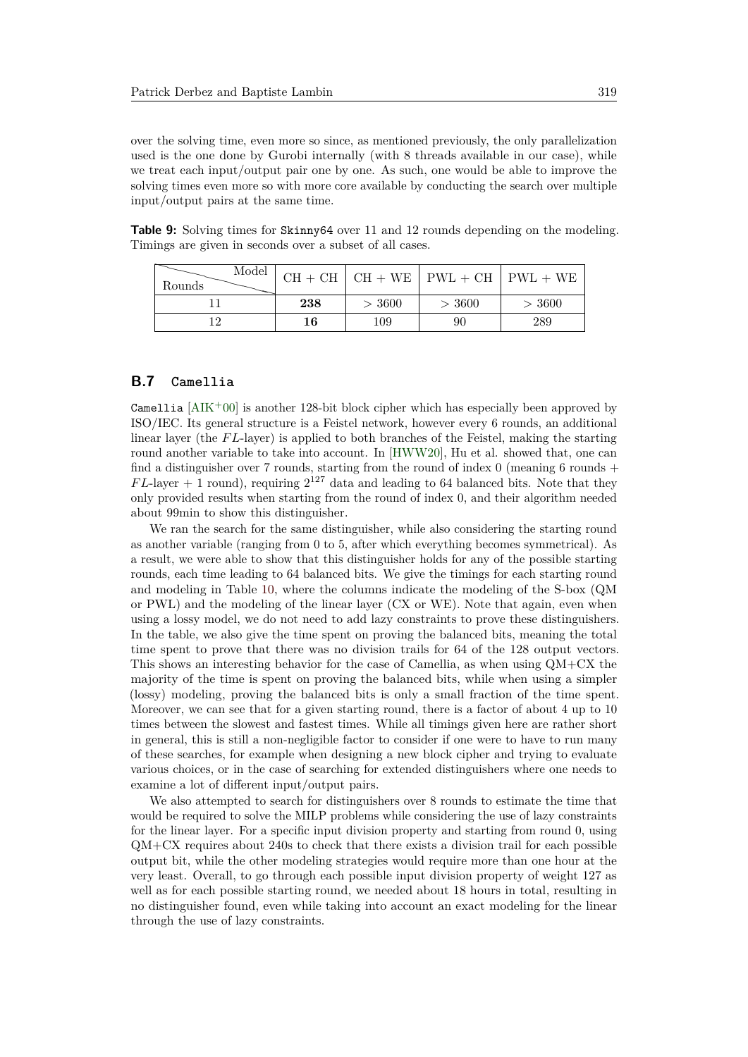over the solving time, even more so since, as mentioned previously, the only parallelization used is the one done by Gurobi internally (with 8 threads available in our case), while we treat each input/output pair one by one. As such, one would be able to improve the solving times even more so with more core available by conducting the search over multiple input/output pairs at the same time.

|  |                                                          |  | <b>Table 9:</b> Solving times for Skinny64 over 11 and 12 rounds depending on the modeling. |  |
|--|----------------------------------------------------------|--|---------------------------------------------------------------------------------------------|--|
|  | Timings are given in seconds over a subset of all cases. |  |                                                                                             |  |

| Model<br>Rounds |     |        | $CH + CH$ $CH + WE$ $FWL + CH$ $FWL + WE$ |        |
|-----------------|-----|--------|-------------------------------------------|--------|
|                 | 238 | > 3600 | > 3600                                    | > 3600 |
|                 | 16  | 109    | 90                                        | 289    |

## **B.7 Camellia**

Camellia  $[AIK^+00]$  $[AIK^+00]$  is another 128-bit block cipher which has especially been approved by ISO/IEC. Its general structure is a Feistel network, however every 6 rounds, an additional linear layer (the *F L*-layer) is applied to both branches of the Feistel, making the starting round another variable to take into account. In [\[HWW20\]](#page-22-0), Hu et al. showed that, one can find a distinguisher over 7 rounds, starting from the round of index  $0$  (meaning 6 rounds +  $FL$ -layer  $+$  1 round), requiring  $2^{127}$  data and leading to 64 balanced bits. Note that they only provided results when starting from the round of index 0, and their algorithm needed about 99min to show this distinguisher.

We ran the search for the same distinguisher, while also considering the starting round as another variable (ranging from 0 to 5, after which everything becomes symmetrical). As a result, we were able to show that this distinguisher holds for any of the possible starting rounds, each time leading to 64 balanced bits. We give the timings for each starting round and modeling in Table [10,](#page-31-0) where the columns indicate the modeling of the S-box (QM or PWL) and the modeling of the linear layer (CX or WE). Note that again, even when using a lossy model, we do not need to add lazy constraints to prove these distinguishers. In the table, we also give the time spent on proving the balanced bits, meaning the total time spent to prove that there was no division trails for 64 of the 128 output vectors. This shows an interesting behavior for the case of Camellia, as when using QM+CX the majority of the time is spent on proving the balanced bits, while when using a simpler (lossy) modeling, proving the balanced bits is only a small fraction of the time spent. Moreover, we can see that for a given starting round, there is a factor of about 4 up to 10 times between the slowest and fastest times. While all timings given here are rather short in general, this is still a non-negligible factor to consider if one were to have to run many of these searches, for example when designing a new block cipher and trying to evaluate various choices, or in the case of searching for extended distinguishers where one needs to examine a lot of different input/output pairs.

We also attempted to search for distinguishers over 8 rounds to estimate the time that would be required to solve the MILP problems while considering the use of lazy constraints for the linear layer. For a specific input division property and starting from round 0, using QM+CX requires about 240s to check that there exists a division trail for each possible output bit, while the other modeling strategies would require more than one hour at the very least. Overall, to go through each possible input division property of weight 127 as well as for each possible starting round, we needed about 18 hours in total, resulting in no distinguisher found, even while taking into account an exact modeling for the linear through the use of lazy constraints.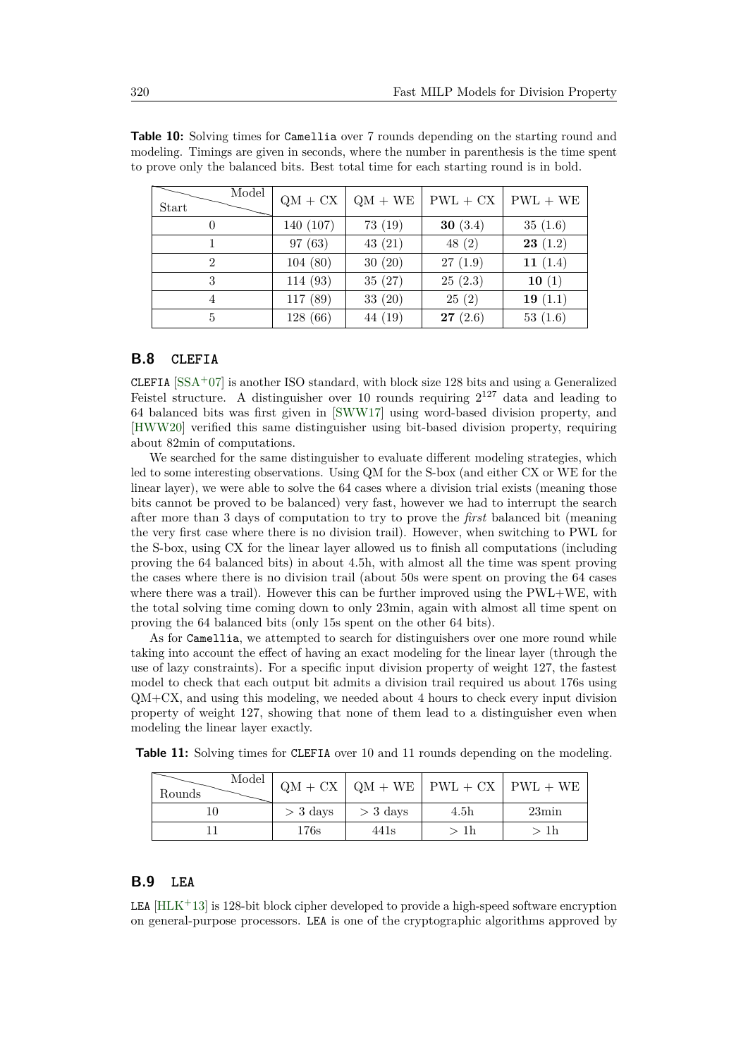| Model<br>Start | $QM + CX$ | $QM + WE$ | $PWL + CX$ | $PWL + WE$ |
|----------------|-----------|-----------|------------|------------|
| $\theta$       | 140 (107) | 73(19)    | 30 $(3.4)$ | 35(1.6)    |
|                | 97(63)    | 43(21)    | 48(2)      | 23(1.2)    |
| $\overline{2}$ | 104(80)   | 30(20)    | 27(1.9)    | 11 $(1.4)$ |
| 3              | 114 (93)  | 35(27)    | 25(2.3)    | 10(1)      |
| 4              | 117 (89)  | 33(20)    | 25(2)      | 19 $(1.1)$ |
| 5              | 128(66)   | 44 (19)   | 27(2.6)    | 53(1.6)    |

<span id="page-31-0"></span>**Table 10:** Solving times for Camellia over 7 rounds depending on the starting round and modeling. Timings are given in seconds, where the number in parenthesis is the time spent to prove only the balanced bits. Best total time for each starting round is in bold.

#### **B.8 CLEFIA**

CLEFIA  $[SSA<sup>+</sup>07]$  $[SSA<sup>+</sup>07]$  is another ISO standard, with block size 128 bits and using a Generalized Feistel structure. A distinguisher over 10 rounds requiring  $2^{127}$  data and leading to 64 balanced bits was first given in [\[SWW17\]](#page-23-0) using word-based division property, and [\[HWW20\]](#page-22-0) verified this same distinguisher using bit-based division property, requiring about 82min of computations.

We searched for the same distinguisher to evaluate different modeling strategies, which led to some interesting observations. Using QM for the S-box (and either CX or WE for the linear layer), we were able to solve the 64 cases where a division trial exists (meaning those bits cannot be proved to be balanced) very fast, however we had to interrupt the search after more than 3 days of computation to try to prove the *first* balanced bit (meaning the very first case where there is no division trail). However, when switching to PWL for the S-box, using CX for the linear layer allowed us to finish all computations (including proving the 64 balanced bits) in about 4.5h, with almost all the time was spent proving the cases where there is no division trail (about 50s were spent on proving the 64 cases where there was a trail). However this can be further improved using the PWL+WE, with the total solving time coming down to only 23min, again with almost all time spent on proving the 64 balanced bits (only 15s spent on the other 64 bits).

As for Camellia, we attempted to search for distinguishers over one more round while taking into account the effect of having an exact modeling for the linear layer (through the use of lazy constraints). For a specific input division property of weight 127, the fastest model to check that each output bit admits a division trail required us about 176s using  $QM+CX$ , and using this modeling, we needed about 4 hours to check every input division property of weight 127, showing that none of them lead to a distinguisher even when modeling the linear layer exactly.

| Model<br>Rounds |            |                  | $QM + CX$   $QM + WE$   $PWL + CX$   $PWL + WE$ |                |
|-----------------|------------|------------------|-------------------------------------------------|----------------|
| 10              | $>$ 3 days | $>$ 3 days       | 4.5 <sub>h</sub>                                | $23\text{min}$ |
|                 | 176s       | 441 <sub>s</sub> | > 1h                                            | > 1h           |

**Table 11:** Solving times for CLEFIA over 10 and 11 rounds depending on the modeling.

### **B.9 LEA**

LEA  $[HLK+13]$  $[HLK+13]$  is 128-bit block cipher developed to provide a high-speed software encryption on general-purpose processors. LEA is one of the cryptographic algorithms approved by